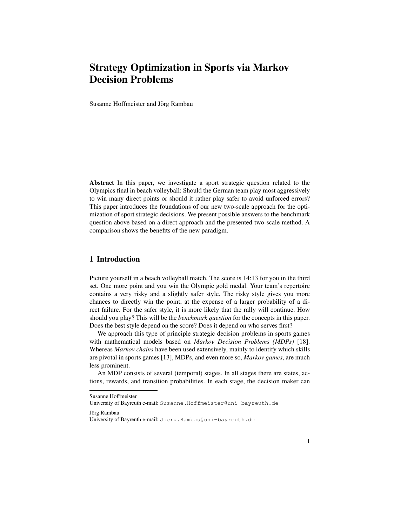# Strategy Optimization in Sports via Markov Decision Problems

Susanne Hoffmeister and Jörg Rambau

Abstract In this paper, we investigate a sport strategic question related to the Olympics final in beach volleyball: Should the German team play most aggressively to win many direct points or should it rather play safer to avoid unforced errors? This paper introduces the foundations of our new two-scale approach for the optimization of sport strategic decisions. We present possible answers to the benchmark question above based on a direct approach and the presented two-scale method. A comparison shows the benefits of the new paradigm.

### 1 Introduction

Picture yourself in a beach volleyball match. The score is 14:13 for you in the third set. One more point and you win the Olympic gold medal. Your team's repertoire contains a very risky and a slightly safer style. The risky style gives you more chances to directly win the point, at the expense of a larger probability of a direct failure. For the safer style, it is more likely that the rally will continue. How should you play? This will be the *benchmark question* for the concepts in this paper. Does the best style depend on the score? Does it depend on who serves first?

We approach this type of principle strategic decision problems in sports games with mathematical models based on *Markov Decision Problems (MDPs)* [18]. Whereas *Markov chains* have been used extensively, mainly to identify which skills are pivotal in sports games [13], MDPs, and even more so, *Markov games*, are much less prominent.

An MDP consists of several (temporal) stages. In all stages there are states, actions, rewards, and transition probabilities. In each stage, the decision maker can

Jörg Rambau

Susanne Hoffmeister

University of Bayreuth e-mail: Susanne.Hoffmeister@uni-bayreuth.de

University of Bayreuth e-mail: Joerg.Rambau@uni-bayreuth.de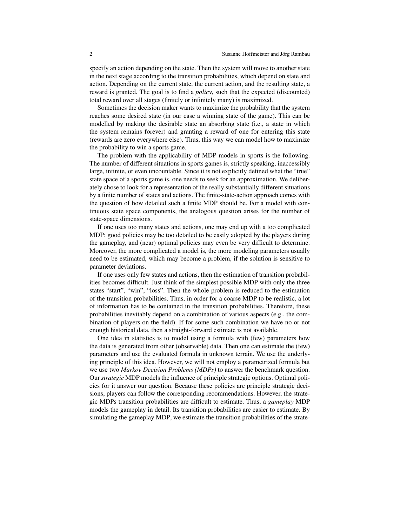specify an action depending on the state. Then the system will move to another state in the next stage according to the transition probabilities, which depend on state and action. Depending on the current state, the current action, and the resulting state, a reward is granted. The goal is to find a *policy*, such that the expected (discounted) total reward over all stages (finitely or infinitely many) is maximized.

Sometimes the decision maker wants to maximize the probability that the system reaches some desired state (in our case a winning state of the game). This can be modelled by making the desirable state an absorbing state (i.e., a state in which the system remains forever) and granting a reward of one for entering this state (rewards are zero everywhere else). Thus, this way we can model how to maximize the probability to win a sports game.

The problem with the applicability of MDP models in sports is the following. The number of different situations in sports games is, strictly speaking, inaccessibly large, infinite, or even uncountable. Since it is not explicitly defined what the "true" state space of a sports game is, one needs to seek for an approximation. We deliberately chose to look for a representation of the really substantially different situations by a finite number of states and actions. The finite-state-action approach comes with the question of how detailed such a finite MDP should be. For a model with continuous state space components, the analogous question arises for the number of state-space dimensions.

If one uses too many states and actions, one may end up with a too complicated MDP: good policies may be too detailed to be easily adopted by the players during the gameplay, and (near) optimal policies may even be very difficult to determine. Moreover, the more complicated a model is, the more modeling parameters usually need to be estimated, which may become a problem, if the solution is sensitive to parameter deviations.

If one uses only few states and actions, then the estimation of transition probabilities becomes difficult. Just think of the simplest possible MDP with only the three states "start", "win", "loss". Then the whole problem is reduced to the estimation of the transition probabilities. Thus, in order for a coarse MDP to be realistic, a lot of information has to be contained in the transition probabilities. Therefore, these probabilities inevitably depend on a combination of various aspects (e.g., the combination of players on the field). If for some such combination we have no or not enough historical data, then a straight-forward estimate is not available.

One idea in statistics is to model using a formula with (few) parameters how the data is generated from other (observable) data. Then one can estimate the (few) parameters and use the evaluated formula in unknown terrain. We use the underlying principle of this idea. However, we will not employ a parametrized formula but we use two *Markov Decision Problems (MDPs)* to answer the benchmark question. Our *strategic* MDP models the influence of principle strategic options. Optimal policies for it answer our question. Because these policies are principle strategic decisions, players can follow the corresponding recommendations. However, the strategic MDPs transition probabilities are difficult to estimate. Thus, a *gameplay* MDP models the gameplay in detail. Its transition probabilities are easier to estimate. By simulating the gameplay MDP, we estimate the transition probabilities of the strate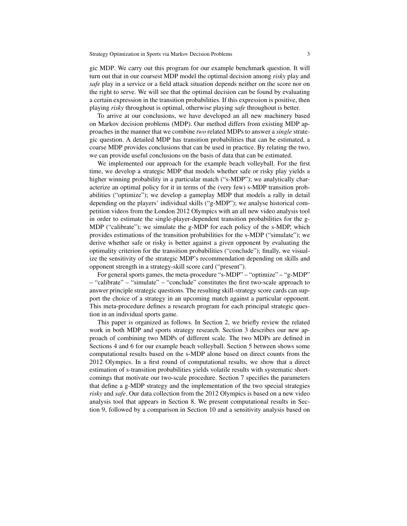gic MDP. We carry out this program for our example benchmark question. It will turn out that in our coarsest MDP model the optimal decision among *risky* play and *safe* play in a service or a field attack situation depends neither on the score nor on the right to serve. We will see that the optimal decision can be found by evaluating a certain expression in the transition probabilities. If this expression is positive, then playing *risky* throughout is optimal, otherwise playing *safe* throughout is better.

To arrive at our conclusions, we have developed an all new machinery based on Markov decision problems (MDP). Our method differs from existing MDP approaches in the manner that we combine *two* related MDPs to answer a *single* strategic question. A detailed MDP has transition probabilities that can be estimated, a coarse MDP provides conclusions that can be used in practice. By relating the two, we can provide useful conclusions on the basis of data that can be estimated.

We implemented our approach for the example beach volleyball. For the first time, we develop a strategic MDP that models whether safe or risky play yields a higher winning probability in a particular match ("s-MDP"); we analytically characterize an optimal policy for it in terms of the (very few) s-MDP transition probabilities ("optimize"); we develop a gameplay MDP that models a rally in detail depending on the players' individual skills ("g-MDP"); we analyse historical competition videos from the London 2012 Olympics with an all new video analysis tool in order to estimate the single-player-dependent transition probabilities for the g-MDP ("calibrate"); we simulate the g-MDP for each policy of the s-MDP, which provides estimations of the transition probabilities for the s-MDP ("simulate"); we derive whether safe or risky is better against a given opponent by evaluating the optimality criterion for the transition probabilities ("conclude"); finally, we visualize the sensitivity of the strategic MDP's recommendation depending on skills and opponent strength in a strategy-skill score card ("present").

For general sports games, the meta-procedure "s-MDP" – "optimize" – "g-MDP" – "calibrate" – "simulate" – "conclude" constitutes the first two-scale approach to answer principle strategic questions. The resulting skill-strategy score cards can support the choice of a strategy in an upcoming match against a particular opponent. This meta-procedure defines a research program for each principal strategic question in an individual sports game.

This paper is organized as follows. In Section 2, we briefly review the related work in both MDP and sports strategy research. Section 3 describes our new approach of combining two MDPs of different scale. The two MDPs are defined in Sections 4 and 6 for our example beach volleyball. Section 5 between shows some computational results based on the s-MDP alone based on direct counts from the 2012 Olympics. In a first round of computational results, we show that a direct estimation of s-transition probabilities yields volatile results with systematic shortcomings that motivate our two-scale procedure. Section 7 specifies the parameters that define a g-MDP strategy and the implementation of the two special strategies *risky* and *safe*. Our data collection from the 2012 Olympics is based on a new video analysis tool that appears in Section 8. We present computational results in Section 9, followed by a comparison in Section 10 and a sensitivity analysis based on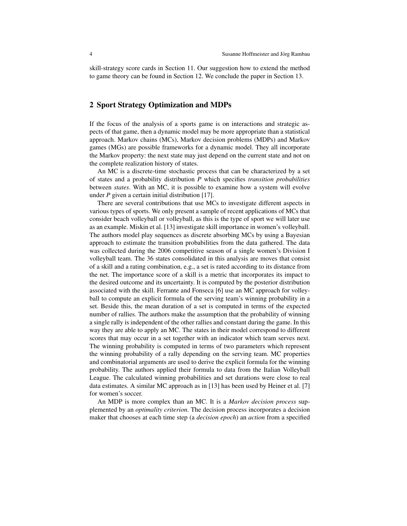skill-strategy score cards in Section 11. Our suggestion how to extend the method to game theory can be found in Section 12. We conclude the paper in Section 13.

#### 2 Sport Strategy Optimization and MDPs

If the focus of the analysis of a sports game is on interactions and strategic aspects of that game, then a dynamic model may be more appropriate than a statistical approach. Markov chains (MCs), Markov decision problems (MDPs) and Markov games (MGs) are possible frameworks for a dynamic model. They all incorporate the Markov property: the next state may just depend on the current state and not on the complete realization history of states.

An MC is a discrete-time stochastic process that can be characterized by a set of states and a probability distribution *P* which specifies *transition probabilities* between *states*. With an MC, it is possible to examine how a system will evolve under *P* given a certain initial distribution [17].

There are several contributions that use MCs to investigate different aspects in various types of sports. We only present a sample of recent applications of MCs that consider beach volleyball or volleyball, as this is the type of sport we will later use as an example. Miskin et al. [13] investigate skill importance in women's volleyball. The authors model play sequences as discrete absorbing MCs by using a Bayesian approach to estimate the transition probabilities from the data gathered. The data was collected during the 2006 competitive season of a single women's Division I volleyball team. The 36 states consolidated in this analysis are moves that consist of a skill and a rating combination, e.g., a set is rated according to its distance from the net. The importance score of a skill is a metric that incorporates its impact to the desired outcome and its uncertainty. It is computed by the posterior distribution associated with the skill. Ferrante and Fonseca [6] use an MC approach for volleyball to compute an explicit formula of the serving team's winning probability in a set. Beside this, the mean duration of a set is computed in terms of the expected number of rallies. The authors make the assumption that the probability of winning a single rally is independent of the other rallies and constant during the game. In this way they are able to apply an MC. The states in their model correspond to different scores that may occur in a set together with an indicator which team serves next. The winning probability is computed in terms of two parameters which represent the winning probability of a rally depending on the serving team. MC properties and combinatorial arguments are used to derive the explicit formula for the winning probability. The authors applied their formula to data from the Italian Volleyball League. The calculated winning probabilities and set durations were close to real data estimates. A similar MC approach as in [13] has been used by Heiner et al. [7] for women's soccer.

An MDP is more complex than an MC. It is a *Markov decision process* supplemented by an *optimality criterion*. The decision process incorporates a decision maker that chooses at each time step (a *decision epoch*) an *action* from a specified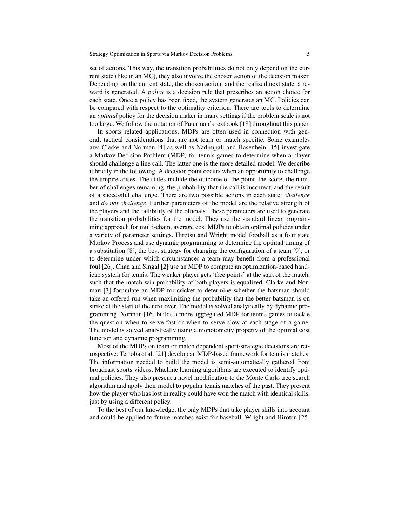set of actions. This way, the transition probabilities do not only depend on the current state (like in an MC), they also involve the chosen action of the decision maker. Depending on the current state, the chosen action, and the realized next state, a reward is generated. A *policy* is a decision rule that prescribes an action choice for each state. Once a policy has been fixed, the system generates an MC. Policies can be compared with respect to the optimality criterion. There are tools to determine an *optimal* policy for the decision maker in many settings if the problem scale is not too large. We follow the notation of Puterman's textbook [18] throughout this paper.

In sports related applications, MDPs are often used in connection with general, tactical considerations that are not team or match specific. Some examples are: Clarke and Norman [4] as well as Nadimpali and Hasenbein [15] investigate a Markov Decision Problem (MDP) for tennis games to determine when a player should challenge a line call. The latter one is the more detailed model. We describe it briefly in the following: A decision point occurs when an opportunity to challenge the umpire arises. The states include the outcome of the point, the score, the number of challenges remaining, the probability that the call is incorrect, and the result of a successful challenge. There are two possible actions in each state: *challenge* and *do not challenge*. Further parameters of the model are the relative strength of the players and the fallibility of the officials. These parameters are used to generate the transition probabilities for the model. They use the standard linear programming approach for multi-chain, average cost MDPs to obtain optimal policies under a variety of parameter settings. Hirotsu and Wright model football as a four state Markov Process and use dynamic programming to determine the optimal timing of a substitution [8], the best strategy for changing the configuration of a team [9], or to determine under which circumstances a team may benefit from a professional foul [26]. Chan and Singal [2] use an MDP to compute an optimization-based handicap system for tennis. The weaker player gets 'free points' at the start of the match, such that the match-win probability of both players is equalized. Clarke and Norman [3] formulate an MDP for cricket to determine whether the batsman should take an offered run when maximizing the probability that the better batsman is on strike at the start of the next over. The model is solved analytically by dynamic programming. Norman [16] builds a more aggregated MDP for tennis games to tackle the question when to serve fast or when to serve slow at each stage of a game. The model is solved analytically using a monotonicity property of the optimal cost function and dynamic programming.

Most of the MDPs on team or match dependent sport-strategic decisions are retrospective: Terroba et al. [21] develop an MDP-based framework for tennis matches. The information needed to build the model is semi-automatically gathered from broadcast sports videos. Machine learning algorithms are executed to identify optimal policies. They also present a novel modification to the Monte Carlo tree search algorithm and apply their model to popular tennis matches of the past. They present how the player who has lost in reality could have won the match with identical skills, just by using a different policy.

To the best of our knowledge, the only MDPs that take player skills into account and could be applied to future matches exist for baseball. Wright and Hirotsu [25]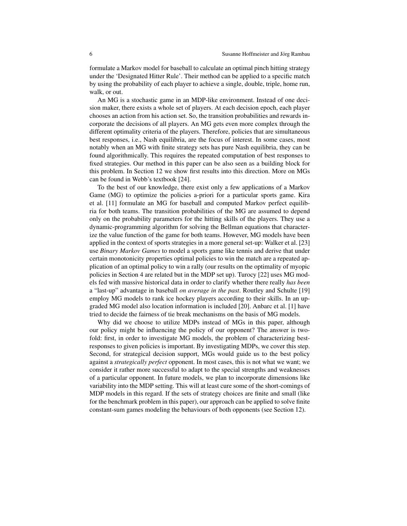formulate a Markov model for baseball to calculate an optimal pinch hitting strategy under the 'Designated Hitter Rule'. Their method can be applied to a specific match by using the probability of each player to achieve a single, double, triple, home run, walk, or out.

An MG is a stochastic game in an MDP-like environment. Instead of one decision maker, there exists a whole set of players. At each decision epoch, each player chooses an action from his action set. So, the transition probabilities and rewards incorporate the decisions of all players. An MG gets even more complex through the different optimality criteria of the players. Therefore, policies that are simultaneous best responses, i.e., Nash equilibria, are the focus of interest. In some cases, most notably when an MG with finite strategy sets has pure Nash equilibria, they can be found algorithmically. This requires the repeated computation of best responses to fixed strategies. Our method in this paper can be also seen as a building block for this problem. In Section 12 we show first results into this direction. More on MGs can be found in Webb's textbook [24].

To the best of our knowledge, there exist only a few applications of a Markov Game (MG) to optimize the policies a-priori for a particular sports game. Kira et al. [11] formulate an MG for baseball and computed Markov perfect equilibria for both teams. The transition probabilities of the MG are assumed to depend only on the probability parameters for the hitting skills of the players. They use a dynamic-programming algorithm for solving the Bellman equations that characterize the value function of the game for both teams. However, MG models have been applied in the context of sports strategies in a more general set-up: Walker et al. [23] use *Binary Markov Games* to model a sports game like tennis and derive that under certain monotonicity properties optimal policies to win the match are a repeated application of an optimal policy to win a rally (our results on the optimality of myopic policies in Section 4 are related but in the MDP set up). Turocy [22] uses MG models fed with massive historical data in order to clarify whether there really *has been* a "last-up" advantage in baseball *on average in the past*. Routley and Schulte [19] employ MG models to rank ice hockey players according to their skills. In an upgraded MG model also location information is included [20]. Anbarc et al. [1] have tried to decide the fairness of tie break mechanisms on the basis of MG models.

Why did we choose to utilize MDPs instead of MGs in this paper, although our policy might be influencing the policy of our opponent? The answer is twofold: first, in order to investigate MG models, the problem of characterizing bestresponses to given policies is important. By investigating MDPs, we cover this step. Second, for strategical decision support, MGs would guide us to the best policy against a *strategically perfect* opponent. In most cases, this is not what we want; we consider it rather more successful to adapt to the special strengths and weaknesses of a particular opponent. In future models, we plan to incorporate dimensions like variability into the MDP setting. This will at least cure some of the short-comings of MDP models in this regard. If the sets of strategy choices are finite and small (like for the benchmark problem in this paper), our approach can be applied to solve finite constant-sum games modeling the behaviours of both opponents (see Section 12).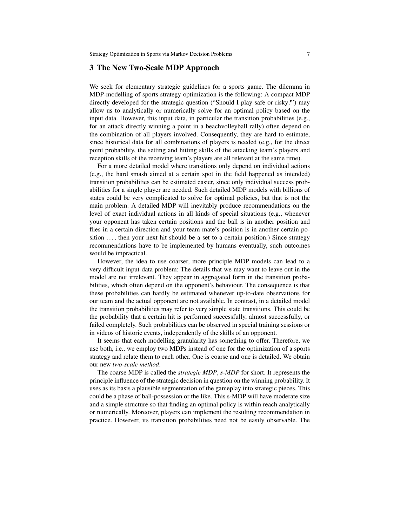#### 3 The New Two-Scale MDP Approach

We seek for elementary strategic guidelines for a sports game. The dilemma in MDP-modelling of sports strategy optimization is the following: A compact MDP directly developed for the strategic question ("Should I play safe or risky?") may allow us to analytically or numerically solve for an optimal policy based on the input data. However, this input data, in particular the transition probabilities (e.g., for an attack directly winning a point in a beachvolleyball rally) often depend on the combination of all players involved. Consequently, they are hard to estimate, since historical data for all combinations of players is needed (e.g., for the direct point probability, the setting and hitting skills of the attacking team's players and reception skills of the receiving team's players are all relevant at the same time).

For a more detailed model where transitions only depend on individual actions (e.g., the hard smash aimed at a certain spot in the field happened as intended) transition probabilities can be estimated easier, since only individual success probabilities for a single player are needed. Such detailed MDP models with billions of states could be very complicated to solve for optimal policies, but that is not the main problem. A detailed MDP will inevitably produce recommendations on the level of exact individual actions in all kinds of special situations (e.g., whenever your opponent has taken certain positions and the ball is in another position and flies in a certain direction and your team mate's position is in another certain position ..., then your next hit should be a set to a certain position.) Since strategy recommendations have to be implemented by humans eventually, such outcomes would be impractical.

However, the idea to use coarser, more principle MDP models can lead to a very difficult input-data problem: The details that we may want to leave out in the model are not irrelevant. They appear in aggregated form in the transition probabilities, which often depend on the opponent's behaviour. The consequence is that these probabilities can hardly be estimated whenever up-to-date observations for our team and the actual opponent are not available. In contrast, in a detailed model the transition probabilities may refer to very simple state transitions. This could be the probability that a certain hit is performed successfully, almost successfully, or failed completely. Such probabilities can be observed in special training sessions or in videos of historic events, independently of the skills of an opponent.

It seems that each modelling granularity has something to offer. Therefore, we use both, i.e., we employ two MDPs instead of one for the optimization of a sports strategy and relate them to each other. One is coarse and one is detailed. We obtain our new *two-scale method*.

The coarse MDP is called the *strategic MDP*, *s-MDP* for short. It represents the principle influence of the strategic decision in question on the winning probability. It uses as its basis a plausible segmentation of the gameplay into strategic pieces. This could be a phase of ball-possession or the like. This s-MDP will have moderate size and a simple structure so that finding an optimal policy is within reach analytically or numerically. Moreover, players can implement the resulting recommendation in practice. However, its transition probabilities need not be easily observable. The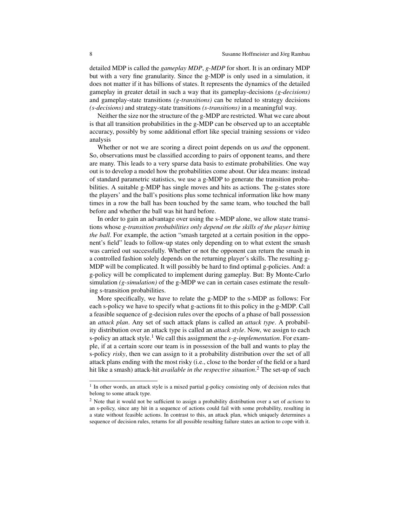detailed MDP is called the *gameplay MDP*, *g-MDP* for short. It is an ordinary MDP but with a very fine granularity. Since the g-MDP is only used in a simulation, it does not matter if it has billions of states. It represents the dynamics of the detailed gameplay in greater detail in such a way that its gameplay-decisions *(g-decisions)* and gameplay-state transitions *(g-transitions)* can be related to strategy decisions *(s-decisions)* and strategy-state transitions *(s-transitions)* in a meaningful way.

Neither the size nor the structure of the g-MDP are restricted. What we care about is that all transition probabilities in the g-MDP can be observed up to an acceptable accuracy, possibly by some additional effort like special training sessions or video analysis

Whether or not we are scoring a direct point depends on us *and* the opponent. So, observations must be classified according to pairs of opponent teams, and there are many. This leads to a very sparse data basis to estimate probabilities. One way out is to develop a model how the probabilities come about. Our idea means: instead of standard parametric statistics, we use a g-MDP to generate the transition probabilities. A suitable g-MDP has single moves and hits as actions. The g-states store the players' and the ball's positions plus some technical information like how many times in a row the ball has been touched by the same team, who touched the ball before and whether the ball was hit hard before.

In order to gain an advantage over using the s-MDP alone, we allow state transitions whose *g-transition probabilities only depend on the skills of the player hitting the ball*. For example, the action "smash targeted at a certain position in the opponent's field" leads to follow-up states only depending on to what extent the smash was carried out successfully. Whether or not the opponent can return the smash in a controlled fashion solely depends on the returning player's skills. The resulting g-MDP will be complicated. It will possibly be hard to find optimal g-policies. And: a g-policy will be complicated to implement during gameplay. But: By Monte-Carlo simulation *(g-simulation)* of the g-MDP we can in certain cases estimate the resulting s-transition probabilities.

More specifically, we have to relate the g-MDP to the s-MDP as follows: For each s-policy we have to specify what g-actions fit to this policy in the g-MDP. Call a feasible sequence of g-decision rules over the epochs of a phase of ball possession an *attack plan*. Any set of such attack plans is called an *attack type*. A probability distribution over an attack type is called an *attack style*. Now, we assign to each s-policy an attack style.<sup>1</sup> We call this assignment the *s-g-implementation*. For example, if at a certain score our team is in possession of the ball and wants to play the s-policy *risky*, then we can assign to it a probability distribution over the set of all attack plans ending with the most risky (i.e., close to the border of the field or a hard hit like a smash) attack-hit *available in the respective situation*. <sup>2</sup> The set-up of such

<sup>&</sup>lt;sup>1</sup> In other words, an attack style is a mixed partial g-policy consisting only of decision rules that belong to some attack type.

<sup>2</sup> Note that it would not be sufficient to assign a probability distribution over a set of *actions* to an s-policy, since any hit in a sequence of actions could fail with some probability, resulting in a state without feasible actions. In contrast to this, an attack plan, which uniquely determines a sequence of decision rules, returns for all possible resulting failure states an action to cope with it.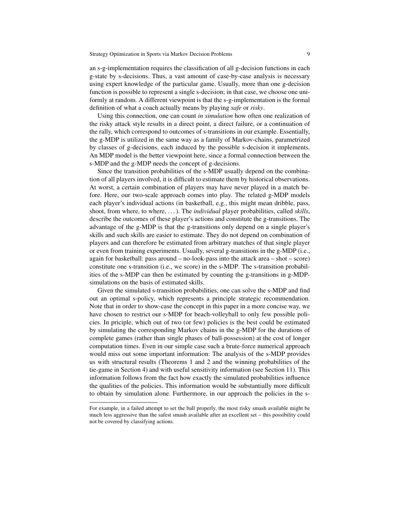an s-g-implementation requires the classification of all g-decision functions in each g-state by s-decisions. Thus, a vast amount of case-by-case analysis is necessary using expert knowledge of the particular game. Usually, more than one g-decision function is possible to represent a single s-decision; in that case, we choose one uniformly at random. A different viewpoint is that the s-g-implementation is the formal definition of what a coach actually means by playing *safe* or *risky*.

Using this connection, one can count *in simulation* how often one realization of the risky attack style results in a direct point, a direct failure, or a continuation of the rally, which correspond to outcomes of s-transitions in our example. Essentially, the g-MDP is utilized in the same way as a family of Markov-chains, parametrized by classes of g-decisions, each induced by the possible s-decision it implements. An MDP model is the better viewpoint here, since a formal connection between the s-MDP and the g-MDP needs the concept of g-decisions.

Since the transition probabilities of the s-MDP usually depend on the combination of all players involved, it is difficult to estimate them by historical observations. At worst, a certain combination of players may have never played in a match before. Here, our two-scale approach comes into play. The related g-MDP models each player's individual actions (in basketball, e.g., this might mean dribble, pass, shoot, from where, to where, . . . ). The *individual* player probabilities, called *skills*, describe the outcomes of these player's actions and constitute the g-transitions. The advantage of the g-MDP is that the g-transitions only depend on a single player's skills and such skills are easier to estimate. They do not depend on combination of players and can therefore be estimated from arbitrary matches of that single player or even from training experiments. Usually, several g-transitions in the g-MDP (i.e., again for basketball: pass around – no-look-pass into the attack area – shot – score) constitute one s-transition (i.e., we score) in the s-MDP. The s-transition probabilities of the s-MDP can then be estimated by counting the g-transitions in g-MDPsimulations on the basis of estimated skills.

Given the simulated s-transition probabilities, one can solve the s-MDP and find out an optimal s-policy, which represents a principle strategic recommendation. Note that in order to show-case the concept in this paper in a more concise way, we have chosen to restrict our s-MDP for beach-volleyball to only few possible policies. In priciple, which out of two (or few) policies is the best could be estimated by simulating the corresponding Markov chains in the g-MDP for the durations of complete games (rather than single phases of ball-possession) at the cost of longer computation times. Even in our simple case such a brute-force numerical approach would miss out some important information: The analysis of the s-MDP provides us with structural results (Theorems 1 and 2 and the winning probabilities of the tie-game in Section 4) and with useful sensitivity information (see Section 11). This information follows from the fact how exactly the simulated probabilities influence the qualities of the policies. This information would be substantially more difficult to obtain by simulation alone. Furthermore, in our approach the policies in the s-

For example, in a failed attempt to set the ball properly, the most risky smash available might be much less aggressive than the safest smash available after an excellent set – this possibility could not be covered by classifying actions.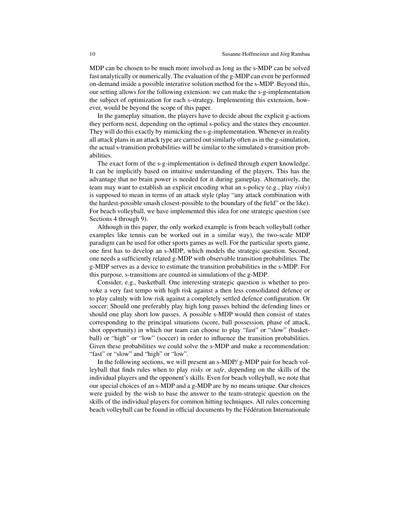MDP can be chosen to be much more involved as long as the s-MDP can be solved fast analytically or numerically. The evaluation of the g-MDP can even be performed on-demand inside a possible interative solution method for the s-MDP. Beyond this, our setting allows for the following extension: we can make the s-g-implementation the subject of optimization for each s-strategy. Implementing this extension, however, would be beyond the scope of this paper.

In the gameplay situation, the players have to decide about the explicit g-actions they perform next, depending on the optimal s-policy and the states they encounter. They will do this exactly by mimicking the s-g-implementation. Whenever in reality all attack plans in an attack type are carried out similarly often as in the g-simulation, the actual s-transition probabilities will be similar to the simulated s-transition probabilities.

The exact form of the s-g-implementation is defined through expert knowledge. It can be implicitly based on intuitive understanding of the players. This has the advantage that no brain power is needed for it during gameplay. Alternatively, the team may want to establish an explicit encoding what an s-policy (e.g., play *risky*) is supposed to mean in terms of an attack style (play "any attack combination with the hardest-possible smash closest-possible to the boundary of the field" or the like). For beach volleyball, we have implemented this idea for one strategic question (see Sections 4 through 9).

Although in this paper, the only worked example is from beach volleyball (other examples like tennis can be worked out in a similar way), the two-scale MDP paradigm can be used for other sports games as well. For the particular sports game, one first has to develop an s-MDP, which models the strategic question. Second, one needs a sufficiently related g-MDP with observable transition probabilities. The g-MDP serves as a device to estimate the transition probabilities in the s-MDP. For this purpose, s-transitions are counted in simulations of the g-MDP.

Consider, e.g., basketball. One interesting strategic question is whether to provoke a very fast tempo with high risk against a then less consolidated defence or to play calmly with low risk against a completely settled defence configuration. Or soccer: Should one preferably play high long passes behind the defending lines or should one play short low passes. A possible s-MDP would then consist of states corresponding to the principal situations (score, ball possession, phase of attack, shot opportunity) in which our team can choose to play "fast" or "slow" (basketball) or "high" or "low" (soccer) in order to influence the transition probabilities. Given these probabilities we could solve the s-MDP and make a recommendation: "fast" or "slow" and "high" or "low".

In the following sections, we will present an s-MDP/ g-MDP pair for beach volleyball that finds rules when to play *risky* or *safe*, depending on the skills of the individual players and the opponent's skills. Even for beach volleyball, we note that our special choices of an s-MDP and a g-MDP are by no means unique. Our choices were guided by the wish to base the answer to the team-strategic question on the skills of the individual players for common hitting techniques. All rules concerning beach volleyball can be found in official documents by the Fédération Internationale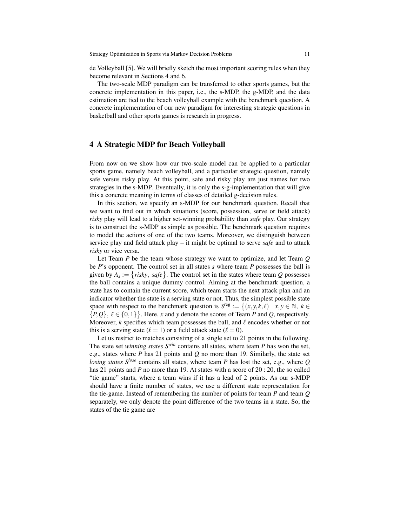de Volleyball [5]. We will briefly sketch the most important scoring rules when they become relevant in Sections 4 and 6.

The two-scale MDP paradigm can be transferred to other sports games, but the concrete implementation in this paper, i.e., the s-MDP, the g-MDP, and the data estimation are tied to the beach volleyball example with the benchmark question. A concrete implementation of our new paradigm for interesting strategic questions in basketball and other sports games is research in progress.

#### 4 A Strategic MDP for Beach Volleyball

From now on we show how our two-scale model can be applied to a particular sports game, namely beach volleyball, and a particular strategic question, namely safe versus risky play. At this point, safe and risky play are just names for two strategies in the s-MDP. Eventually, it is only the s-g-implementation that will give this a concrete meaning in terms of classes of detailed g-decision rules.

In this section, we specify an s-MDP for our benchmark question. Recall that we want to find out in which situations (score, possession, serve or field attack) *risky* play will lead to a higher set-winning probability than *safe* play. Our strategy is to construct the s-MDP as simple as possible. The benchmark question requires to model the actions of one of the two teams. Moreover, we distinguish between service play and field attack play – it might be optimal to serve *safe* and to attack *risky* or vice versa.

Let Team *P* be the team whose strategy we want to optimize, and let Team *Q* be *P*'s opponent. The control set in all states *s* where team *P* possesses the ball is given by  $A_s := \{risky, \, safe\}$ . The control set in the states where team *Q* possesses the ball contains a unique dummy control. Aiming at the benchmark question, a state has to contain the current score, which team starts the next attack plan and an indicator whether the state is a serving state or not. Thus, the simplest possible state space with respect to the benchmark question is  $S^{\text{reg}} := \{(x, y, k, \ell) \mid x, y \in \mathbb{N}, k \in \mathbb{N}\}$  $\{P,Q\}, \ell \in \{0,1\}\}\.$  Here, *x* and *y* denote the scores of Team *P* and *Q*, respectively. Moreover, *k* specifies which team possesses the ball, and  $\ell$  encodes whether or not this is a serving state ( $\ell = 1$ ) or a field attack state ( $\ell = 0$ ).

Let us restrict to matches consisting of a single set to 21 points in the following. The state set *winning states Swin* contains all states, where team *P* has won the set, e.g., states where *P* has 21 points and *Q* no more than 19. Similarly, the state set *losing states Slose* contains all states, where team *P* has lost the set, e.g., where *Q* has 21 points and *P* no more than 19. At states with a score of 20 : 20, the so called "tie game" starts, where a team wins if it has a lead of 2 points. As our s-MDP should have a finite number of states, we use a different state representation for the tie-game. Instead of remembering the number of points for team *P* and team *Q* separately, we only denote the point difference of the two teams in a state. So, the states of the tie game are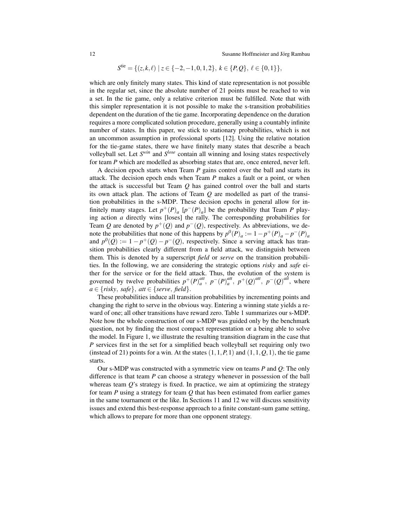12 Susanne Hoffmeister and Jörg Rambau

$$
Stie = \{ (z, k, \ell) \mid z \in \{ -2, -1, 0, 1, 2 \}, k \in \{ P, Q \}, \ell \in \{ 0, 1 \} \},
$$

which are only finitely many states. This kind of state representation is not possible in the regular set, since the absolute number of 21 points must be reached to win a set. In the tie game, only a relative criterion must be fulfilled. Note that with this simpler representation it is not possible to make the s-transition probabilities dependent on the duration of the tie game. Incorporating dependence on the duration requires a more complicated solution procedure, generally using a countably infinite number of states. In this paper, we stick to stationary probabilities, which is not an uncommon assumption in professional sports [12]. Using the relative notation for the tie-game states, there we have finitely many states that describe a beach volleyball set. Let  $S^{win}$  and  $S^{lose}$  contain all winning and losing states respectively for team *P* which are modelled as absorbing states that are, once entered, never left.

A decision epoch starts when Team *P* gains control over the ball and starts its attack. The decision epoch ends when Team *P* makes a fault or a point, or when the attack is successful but Team *Q* has gained control over the ball and starts its own attack plan. The actions of Team *Q* are modelled as part of the transition probabilities in the s-MDP. These decision epochs in general allow for infinitely many stages. Let  $p^+(P)$ <sup>*a*</sup>  $[p^-(P)$ <sup>*a*</sup> $]$  be the probability that Team *P* playing action *a* directly wins [loses] the rally. The corresponding probabilities for Team *Q* are denoted by  $p^+(Q)$  and  $p^-(Q)$ , respectively. As abbreviations, we denote the probabilities that none of this happens by  $p^0(P)_a := 1 - p^+(P)_a - p^-(P)_a$ and  $p^0(Q) := 1 - p^+(Q) - p^-(Q)$ , respectively. Since a serving attack has transition probabilities clearly different from a field attack, we distinguish between them. This is denoted by a superscript *field* or *serve* on the transition probabilities. In the following, we are considering the strategic options *risky* and *safe* either for the service or for the field attack. Thus, the evolution of the system is governed by twelve probabilities  $p^+(P)^{att}_a$ ,  $p^-(P)^{att}_a$ ,  $p^+(Q)^{att}$ ,  $p^-(Q)^{att}$ , where  $a \in \{risky, safe\}, att \in \{serve, field\}.$ 

These probabilities induce all transition probabilities by incrementing points and changing the right to serve in the obvious way. Entering a winning state yields a reward of one; all other transitions have reward zero. Table 1 summarizes our s-MDP. Note how the whole construction of our s-MDP was guided only by the benchmark question, not by finding the most compact representation or a being able to solve the model. In Figure 1, we illustrate the resulting transition diagram in the case that *P* services first in the set for a simplified beach volleyball set requiring only two (instead of 21) points for a win. At the states  $(1,1,P,1)$  and  $(1,1,Q,1)$ , the tie game starts.

Our s-MDP was constructed with a symmetric view on teams *P* and *Q*: The only difference is that team *P* can choose a strategy whenever in possession of the ball whereas team  $Q$ 's strategy is fixed. In practice, we aim at optimizing the strategy for team *P* using a strategy for team *Q* that has been estimated from earlier games in the same tournament or the like. In Sections 11 and 12 we will discuss sensitivity issues and extend this best-response approach to a finite constant-sum game setting, which allows to prepare for more than one opponent strategy.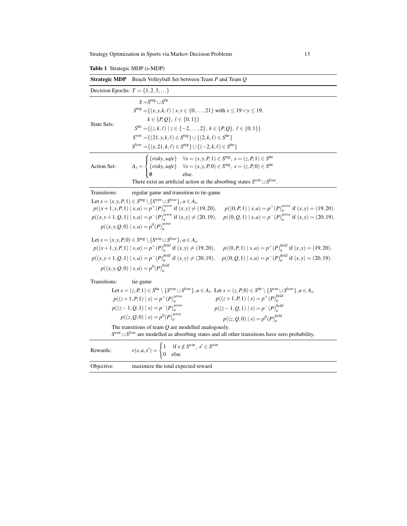Table 1 Strategic MDP (s-MDP)

|                                            | <b>Strategic MDP</b> Beach Volleyball Set between Team P and Team O                                                                                                                                                                                                                                                                                                                                                                                      |  |  |  |  |  |  |
|--------------------------------------------|----------------------------------------------------------------------------------------------------------------------------------------------------------------------------------------------------------------------------------------------------------------------------------------------------------------------------------------------------------------------------------------------------------------------------------------------------------|--|--|--|--|--|--|
| Decision Epochs: $T = \{1, 2, 3, \ldots\}$ |                                                                                                                                                                                                                                                                                                                                                                                                                                                          |  |  |  |  |  |  |
| State Sets:                                | $S = Sreg \cup Stie$<br>$S^{\text{reg}} = \{(x, y, k, \ell) \mid x, y \in \{0, \ldots, 21\} \text{ with } x \leq 19 \lor y \leq 19,$<br>$k \in \{P, Q\}, \ell \in \{0, 1\}\}\$<br>$S^{\text{tie}} = \{(z, k, \ell) \mid z \in \{-2, , 2\}, k \in \{P, Q\}, \ell \in \{0, 1\}\}\$<br>$S^{win} = \{(21, y, k, \ell) \in S^{reg}\} \cup \{(2, k, \ell) \in S^{tie}\}\$<br>$S^{lose} = \{(x, 21, k, \ell) \in S^{reg}\} \cup \{(-2, k, \ell) \in S^{tie}\}\$ |  |  |  |  |  |  |
| Action Set:                                | $A_s = \begin{cases} \{risky, safe\} & \forall s = (x, y, P, 1) \in S^{\text{reg}}, \ s = (z, P, 1) \in S^{\text{tie}} \\ \{risky, safe\} & \forall s = (x, y, P, 0) \in S^{\text{reg}}, \ s = (z, P, 0) \in S^{\text{tie}} \\ \emptyset & \text{else}. \end{cases}$<br>There exist an artificial action at the absorbing states $S^{win} \cup S^{lose}$ .                                                                                               |  |  |  |  |  |  |
|                                            |                                                                                                                                                                                                                                                                                                                                                                                                                                                          |  |  |  |  |  |  |

Transitions: regular game and transition to tie-game

Let  $s = (x, y, P, 1) \in S^{\text{reg}} \setminus \{S^{\text{win}} \cup S^{\text{lose}}\}, a \in A_s$ .

 $p((x+1,y,P,1)) | s,a) = p^{+}(P)_{a}^{serve}$  if  $(x,y) \neq (19,20),$   $p((0,P,1) | s,a) = p^{+}(P)_{a}^{serve}$  if  $(x,y) = (19,20).$  $p((x, y+1, Q, 1) | s, a) = p^{-}(P)_{a}^{serve}$  if  $(x, y) \neq (20, 19),$   $p((0, Q, 1) | s, a) = p^{-}(P)_{a}^{serve}$  if  $(x, y) = (20, 19).$  $p((x, y, Q, 0) | s, a) = p^{0}(P)_{a}^{serve}$ 

Let  $s = (x, y, P, 0) \in S^{\text{reg}} \setminus \{S^{\text{win}} \cup S^{\text{lose}}\}, a \in A_s.$  $p((x+1,y,P,1) | s,a) = p^+(P)_{a}^{field}$  if  $(x,y) \neq (19,20)$ ,  $p((0,P,1) | s,a) = p^+(P)_{a}^{field}$  if  $(x,y) = (19,20)$ .  $p((x, y+1, Q, 1) | s, a) = p^{-}(P)_{a}^{field}$  if  $(x, y) \neq (20, 19),$   $p((0, Q, 1) | s, a) = p^{-}(P)_{a}^{field}$  if  $(x, y) = (20, 19).$  $p((x, y, Q, 0) | s, a) = p^{0}(P)_{a}^{field}$ 

Transitions: tie-game

Let 
$$
s = (z, P, 1) \in S^{tie} \setminus \{S^{win} \cup S^{lose}\}, a \in A_s
$$
. Let  $s = (z, P, 0) \in S^{tie} \setminus \{S^{win} \cup S^{lose}\}, a \in A_s$ .  
\n $p((z+1, P, 1) \mid s) = p^+(P)^{serve}_a$   
\n $p((z-1, Q, 1) \mid s) = p^-(P)^{serve}_a$   
\n $p((z-1, Q, 1) \mid s) = p^o(P)^{serve}_a$   
\n $p((z-1, Q, 1) \mid s) = p^o(P)^{field}_a$   
\n $p((z, Q, 0) \mid s) = p^0(P)^{serve}_a$   
\n $p((z, Q, 0) \mid s) = p^o(P)^{field}_a$ 

The transitions of team *Q* are modelled analogously. *S win* ∪*S lose* are modelled as absorbing states and all other transitions have zero probability.

| Rewards:   | $r(s,a,s') = \begin{cases} 1 & \text{if } s \notin S^{win}, s' \in S^{win} \\ 0 & \text{else.} \end{cases}$ |
|------------|-------------------------------------------------------------------------------------------------------------|
| Objective: | maximize the total expected reward                                                                          |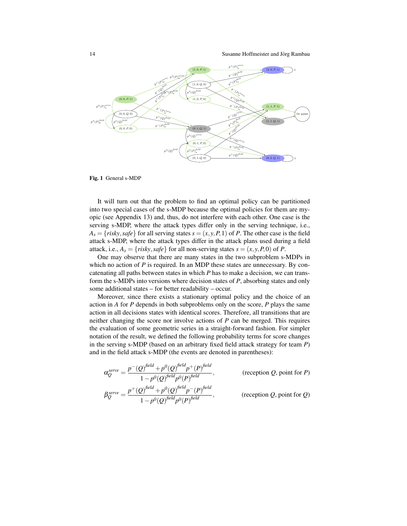14 Susanne Hoffmeister and Jörg Rambau von der Susanne Hoffmeister and Jörg Rambau



Fig. 1 General s-MDP

It will turn out that the problem to find an optimal policy can be partitioned into two special cases of the s-MDP because the optimal policies for them are myopic (see Appendix 13) and, thus, do not interfere with each other. One case is the serving s-MDP, where the attack types differ only in the serving technique, i.e.,  $A_s = \{risky, safe\}$  for all serving states  $s = (x, y, P, 1)$  of *P*. The other case is the field attack s-MDP, where the attack types differ in the attack plans used during a field attack, i.e.,  $A_s = \{risky, safe\}$  for all non-serving states  $s = (x, y, P, 0)$  of P.

One may observe that there are many states in the two subproblem s-MDPs in which no action of *P* is required. In an MDP these states are unnecessary. By concatenating all paths between states in which *P* has to make a decision, we can transform the s-MDPs into versions where decision states of *P*, absorbing states and only some additional states – for better readability – occur.

Moreover, since there exists a stationary optimal policy and the choice of an action in *A* for *P* depends in both subproblems only on the score, *P* plays the same action in all decisions states with identical scores. Therefore, all transitions that are neither changing the score nor involve actions of *P* can be merged. This requires the evaluation of some geometric series in a straight-forward fashion. For simpler notation of the result, we defined the following probability terms for score changes in the serving s-MDP (based on an arbitrary fixed field attack strategy for team *P*) and in the field attack s-MDP (the events are denoted in parentheses):

$$
\alpha_Q^{serve} = \frac{p^{-}(Q)^{field} + p^{0}(Q)^{field}p^{+}(P)^{field}}{1 - p^{0}(Q)^{field}p^{0}(P)^{field}},
$$
\n
$$
\beta_Q^{serve} = \frac{p^{+}(Q)^{field} + p^{0}(Q)^{field}p^{-}(P)^{field}}{1 - p^{0}(Q)^{field}p^{0}(P)^{field}},
$$
\n(reception Q, point for Q)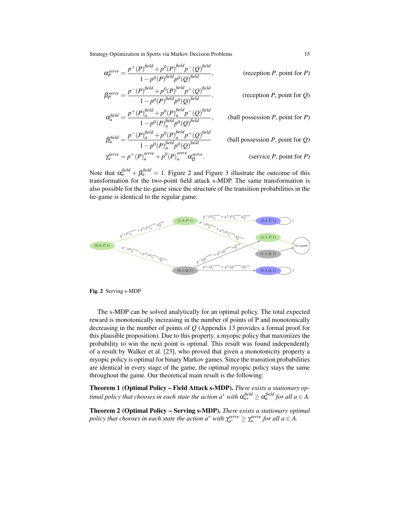Strategy Optimization in Sports via Markov Decision Problems 15

$$
\alpha_P^{serve} = \frac{p^+(P)^{field} + p^0(P)^{field} p^-(Q)^{field}}{1 - p^0(P)^{field} p^0(Q)^{field}}, \qquad \text{(reception } P \text{, point for } P\text{)}
$$

$$
\beta_P^{serve} = \frac{p^-(P)^{field} + p^0(P)^{field} p^+(Q)^{field}}{1 - p^0(P)^{field} p^0(Q)^{field}},
$$
 (reception *P*, point for *Q*)

$$
\alpha_a^{\text{field}} = \frac{p^+(P)_a^{\text{field}} + p^0(P)_a^{\text{field}} p^-(Q)^{\text{field}}}{1 - p^0(P)_a^{\text{field}} p^0(Q)^{\text{field}}}, \qquad \text{(ball possession } P \text{, point for } P)
$$
\n
$$
\beta^{\text{field}} = \frac{p^-(P)_a^{\text{field}} + p^0(P)_a^{\text{field}} p^+(Q)^{\text{field}}}{1 - p^0(P)_a^{\text{field}} p^+(Q)^{\text{field}}}, \qquad \text{(ball possession } P \text{, point for } O)
$$

$$
\beta_a^{\text{neid}} = \frac{P^{(1)} \cdot A^{(1)} \cdot P^{(1)} \cdot A^{(1)} \cdot P^{(2)} \cdot Q^{(2)} \cdot Q^{(2)} \cdot Q^{(2)} \cdot Q^{(2)} \cdot Q^{(2)} \cdot Q^{(2)} \cdot Q^{(2)} \cdot Q^{(2)} \cdot Q^{(2)} \cdot Q^{(2)} \cdot Q^{(2)} \cdot Q^{(2)} \cdot Q^{(2)} \cdot Q^{(2)} \cdot Q^{(2)} \cdot Q^{(2)} \cdot Q^{(2)} \cdot Q^{(2)} \cdot Q^{(2)} \cdot Q^{(2)} \cdot Q^{(2)} \cdot Q^{(2)} \cdot Q^{(2)} \cdot Q^{(2)} \cdot Q^{(2)} \cdot Q^{(2)} \cdot Q^{(2)} \cdot Q^{(2)} \cdot Q^{(2)} \cdot Q^{(2)} \cdot Q^{(2)} \cdot Q^{(2)} \cdot Q^{(2)} \cdot Q^{(2)} \cdot Q^{(2)} \cdot Q^{(2)} \cdot Q^{(2)} \cdot Q^{(2)} \cdot Q^{(2)} \cdot Q^{(2)} \cdot Q^{(2)} \cdot Q^{(2)} \cdot Q^{(2)} \cdot Q^{(2)} \cdot Q^{(2)} \cdot Q^{(2)} \cdot Q^{(2)} \cdot Q^{(2)} \cdot Q^{(2)} \cdot Q^{(2)} \cdot Q^{(2)} \cdot Q^{(2)} \cdot Q^{(2)} \cdot Q^{(2)} \cdot Q^{(2)} \cdot Q^{(2)} \cdot Q^{(2)} \cdot Q^{(2)} \cdot Q^{(2)} \cdot Q^{(2)} \cdot Q^{(2)} \cdot Q^{(2)} \cdot Q^{(2)} \cdot Q^{(2)} \cdot Q^{(2)} \cdot Q^{(2)} \cdot Q^{(2)} \cdot Q^{(2)} \cdot Q^{(2)} \cdot Q^{(2)} \cdot Q^{(2)} \cdot Q^{(2)} \cdot Q^{(2)} \cdot Q^{(2)} \cdot Q^{(2)} \cdot Q^{(2)} \cdot Q^{(2)} \cdot Q^{(2)} \cdot Q^{(2)} \cdot Q^{(2)} \cdot Q^{(2)} \cdot Q^{(2)} \cdot Q^{(2)} \cdot Q^{(2)} \cdot Q^{(2)} \cdot Q^{(2)} \cdot Q^{(2)} \cdot Q^{(2)} \cdot Q^{(2)} \cdot Q^{(2)} \cdot Q^{(2)} \cdot Q^{(2)} \cdot Q^{(2)} \cdot Q^{(2)} \cdot Q^{(2)} \cdot Q^{(2)} \cdot Q^{(2)} \cdot Q^{(2)} \cdot Q^{(2)} \cdot Q^{(2)} \cdot Q^{(2)} \cdot Q^{(2
$$

Note that  $\alpha_a^{field} + \beta_a^{field} = 1$ . Figure 2 and Figure 3 illustrate the outcome of this transformation for the two-point field attack s-MDP. The same transformation is also possible for the tie-game since the structure of the transition probabilities in the tie-game is identical to the regular game.



#### Fig. 2 Serving s-MDP

The s-MDP can be solved analytically for an optimal policy. The total expected reward is monotonically increasing in the number of points of P and monotonically decreasing in the number of points of *Q* (Appendix 13 provides a formal proof for this plausible proposition). Due to this property, a myopic policy that maximizes the probability to win the next point is optimal. This result was found independently of a result by Walker et al. [23], who proved that given a monotonicity property a myopic policy is optimal for binary Markov games. Since the transition probabilities are identical in every stage of the game, the optimal myopic policy stays the same throughout the game. Our theoretical main result is the following:

Theorem 1 (Optimal Policy – Field Attack s-MDP). *There exists a stationary op* $t$ *timal policy that chooses in each state the action*  $a^*$  *with*  $\alpha^{field}_{a*} \geq \alpha^{field}_{a}$  *for all*  $a \in A$ *.* 

Theorem 2 (Optimal Policy – Serving s-MDP). *There exists a stationary optimal policy that chooses in each state the action*  $a^*$  *with*  $\gamma_{a^*}^{serve} \geq \gamma_a^{serve}$  *for all*  $a \in A$ *.*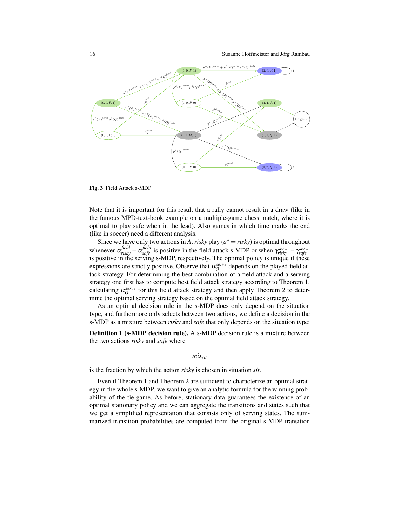16 Susanne Hoffmeister and Jörg Rambau von der Susanne Hoffmeister and Jörg Rambau



Fig. 3 Field Attack s-MDP

Note that it is important for this result that a rally cannot result in a draw (like in the famous MPD-text-book example on a multiple-game chess match, where it is optimal to play safe when in the lead). Also games in which time marks the end (like in soccer) need a different analysis.

Since we have only two actions in *A*, *risky* play  $(a^* = \text{risk}y)$  is optimal throughout whenever  $\alpha_{risky}^{field} - \alpha_{safe}^{field}$  is positive in the field attack s-MDP or when  $\gamma_{risky}^{serve} - \gamma_{safe}^{serve}$  is positive in the serving s-MDP, respectively. The optimal policy is unique if these expressions are strictly positive. Observe that  $\alpha_Q^{serve}$  depends on the played field attack strategy. For determining the best combination of a field attack and a serving strategy one first has to compute best field attack strategy according to Theorem 1, calculating  $\alpha_Q^{serverve}$  for this field attack strategy and then apply Theorem 2 to determine the optimal serving strategy based on the optimal field attack strategy.

As an optimal decision rule in the s-MDP does only depend on the situation type, and furthermore only selects between two actions, we define a decision in the s-MDP as a mixture between *risky* and *safe* that only depends on the situation type:

Definition 1 (s-MDP decision rule). A s-MDP decision rule is a mixture between the two actions *risky* and *safe* where

*mixsit*

is the fraction by which the action *risky* is chosen in situation *sit*.

Even if Theorem 1 and Theorem 2 are sufficient to characterize an optimal strategy in the whole s-MDP, we want to give an analytic formula for the winning probability of the tie-game. As before, stationary data guarantees the existence of an optimal stationary policy and we can aggregate the transitions and states such that we get a simplified representation that consists only of serving states. The summarized transition probabilities are computed from the original s-MDP transition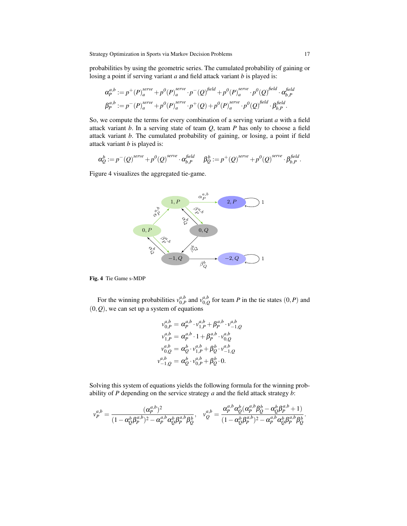probabilities by using the geometric series. The cumulated probability of gaining or losing a point if serving variant *a* and field attack variant *b* is played is:

$$
\alpha_p^{a,b} := p^+(P)_a^{serve} + p^0(P)_a^{serve} \cdot p^-(Q)^{field} + p^0(P)_a^{serve} \cdot p^0(Q)^{field} \cdot \alpha_{b,P}^{field}
$$
  

$$
\beta_p^{a,b} := p^-(P)_a^{serve} + p^0(P)_a^{serve} \cdot p^+(Q) + p^0(P)_a^{serve} \cdot p^0(Q)^{field} \cdot \beta_{b,P}^{field}
$$

So, we compute the terms for every combination of a serving variant *a* with a field attack variant *b*. In a serving state of team *Q*, team *P* has only to choose a field attack variant *b*. The cumulated probability of gaining, or losing, a point if field attack variant *b* is played is:

$$
\alpha_{\mathcal{Q}}^b:=p^{-}(Q)^{serve}+p^0(Q)^{serve}\cdot\alpha_{b,P}^{field}\quad \beta_{\mathcal{Q}}^b:=p^{+}(Q)^{serve}+p^0(Q)^{serve}\cdot\beta_{b,P}^{field}.
$$

Figure 4 visualizes the aggregated tie-game.



Fig. 4 Tie Game s-MDP

For the winning probabilities  $v_{0,P}^{a,b}$  and  $v_{0,Q}^{a,b}$  for team *P* in the tie states  $(0, P)$  and  $(0, Q)$ , we can set up a system of equations

$$
v_{0,P}^{a,b} = \alpha_P^{a,b} \cdot v_{1,P}^{a,b} + \beta_P^{a,b} \cdot v_{-1,Q}^{a,b}
$$
  
\n
$$
v_{1,P}^{a,b} = \alpha_P^{a,b} \cdot 1 + \beta_P^{a,b} \cdot v_{0,Q}^{a,b}
$$
  
\n
$$
v_{0,Q}^{a,b} = \alpha_Q^{b} \cdot v_{1,P}^{a,b} + \beta_Q^{b} \cdot v_{-1,Q}^{a,b}
$$
  
\n
$$
v_{-1,Q}^{a,b} = \alpha_Q^{b} \cdot v_{0,P}^{a,b} + \beta_Q^{b} \cdot 0.
$$

Solving this system of equations yields the following formula for the winning probability of *P* depending on the service strategy *a* and the field attack strategy *b*:

$$
v_P^{a,b} = \frac{(\alpha_P^{a,b})^2}{(1 - \alpha_Q^b \beta_P^{a,b})^2 - \alpha_P^{a,b} \alpha_Q^b \beta_P^{a,b} \beta_Q^b}, \quad v_Q^{a,b} = \frac{\alpha_P^{a,b} \alpha_Q^b (\alpha_P^{a,b} \beta_Q^b - \alpha_Q^b \beta_P^{a,b} + 1)}{(1 - \alpha_Q^b \beta_P^{a,b})^2 - \alpha_P^{a,b} \alpha_Q^b \beta_P^{a,b} \beta_Q^b}.
$$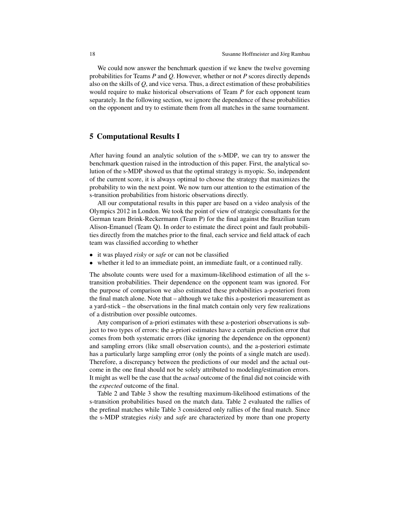We could now answer the benchmark question if we knew the twelve governing probabilities for Teams *P* and *Q*. However, whether or not *P* scores directly depends also on the skills of *Q*, and vice versa. Thus, a direct estimation of these probabilities would require to make historical observations of Team *P* for each opponent team separately. In the following section, we ignore the dependence of these probabilities on the opponent and try to estimate them from all matches in the same tournament.

#### 5 Computational Results I

After having found an analytic solution of the s-MDP, we can try to answer the benchmark question raised in the introduction of this paper. First, the analytical solution of the s-MDP showed us that the optimal strategy is myopic. So, independent of the current score, it is always optimal to choose the strategy that maximizes the probability to win the next point. We now turn our attention to the estimation of the s-transition probabilities from historic observations directly.

All our computational results in this paper are based on a video analysis of the Olympics 2012 in London. We took the point of view of strategic consultants for the German team Brink-Reckermann (Team P) for the final against the Brazilian team Alison-Emanuel (Team Q). In order to estimate the direct point and fault probabilities directly from the matches prior to the final, each service and field attack of each team was classified according to whether

- it was played *risky* or *safe* or can not be classified
- whether it led to an immediate point, an immediate fault, or a continued rally.

The absolute counts were used for a maximum-likelihood estimation of all the stransition probabilities. Their dependence on the opponent team was ignored. For the purpose of comparison we also estimated these probabilities a-posteriori from the final match alone. Note that – although we take this a-posteriori measurement as a yard-stick – the observations in the final match contain only very few realizations of a distribution over possible outcomes.

Any comparison of a-priori estimates with these a-posteriori observations is subject to two types of errors: the a-priori estimates have a certain prediction error that comes from both systematic errors (like ignoring the dependence on the opponent) and sampling errors (like small observation counts), and the a-posteriori estimate has a particularly large sampling error (only the points of a single match are used). Therefore, a discrepancy between the predictions of our model and the actual outcome in the one final should not be solely attributed to modeling/estimation errors. It might as well be the case that the *actual* outcome of the final did not coincide with the *expected* outcome of the final.

Table 2 and Table 3 show the resulting maximum-likelihood estimations of the s-transition probabilities based on the match data. Table 2 evaluated the rallies of the prefinal matches while Table 3 considered only rallies of the final match. Since the s-MDP strategies *risky* and *safe* are characterized by more than one property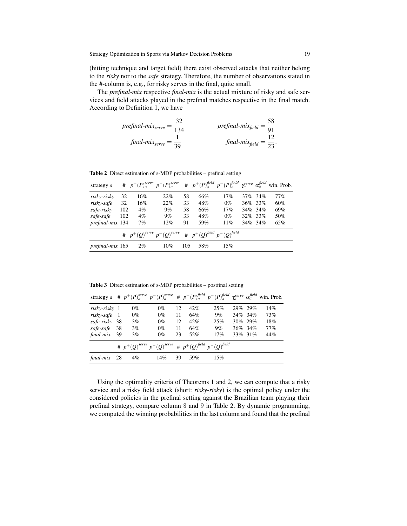(hitting technique and target field) there exist observed attacks that neither belong to the *risky* nor to the *safe* strategy. Therefore, the number of observations stated in the #-column is, e.g., for risky serves in the final, quite small.

The *prefinal-mix* respective *final-mix* is the actual mixture of risky and safe services and field attacks played in the prefinal matches respective in the final match. According to Definition 1, we have

$$
prefinal-mix_{serve} = \frac{32}{134}
$$

$$
prefinal-mix_{field} = \frac{58}{91}
$$

$$
final-mix_{serve} = \frac{1}{39}
$$

$$
final-mix_{field} = \frac{12}{23}.
$$

Table 2 Direct estimation of s-MDP probabilities – prefinal setting

| strategy a              |     |       | # $p^+(P)$ <sup>serve</sup> $p^-(P)$ <sup>serve</sup> # $p^+(P)$ <sup>field</sup> $p^-(P)$ <sup>field</sup> $\gamma_a^{serve}$ $\alpha_a^{field}$ win. Prob. |     |     |       |        |           |     |
|-------------------------|-----|-------|--------------------------------------------------------------------------------------------------------------------------------------------------------------|-----|-----|-------|--------|-----------|-----|
| risky-risky             | 32  | 16%   | 22%                                                                                                                                                          | 58  | 66% | 17%   |        | 37\% 34\% | 77% |
| risky-safe              | 32  | 16%   | 22%                                                                                                                                                          | 33  | 48% | $0\%$ |        | 36\% 33\% | 60% |
| safe-risky              | 102 | $4\%$ | 9%                                                                                                                                                           | 58  | 66% | 17%   |        | 34% 34%   | 69% |
| safe-safe               | 102 | $4\%$ | 9%                                                                                                                                                           | 33  | 48% | $0\%$ | $32\%$ | 33%       | 50% |
| prefinal-mix 134        |     | 7%    | 12%                                                                                                                                                          | 91  | 59% | 11%   |        | 34% 34%   | 65% |
|                         |     |       | # $p^+(Q)^{serve} p^-(Q)^{serve}$ # $p^+(Q)^{field} p^-(Q)^{field}$                                                                                          |     |     |       |        |           |     |
| <i>prefinal-mix</i> 165 |     | $2\%$ | 10%                                                                                                                                                          | 105 | 58% | 15%   |        |           |     |

Table 3 Direct estimation of s-MDP probabilities – postfinal setting

|                |       | strategy a # $p^+(P)^{serve}_a$ = $p^-(P)^{serve}_a$ # $p^+(P)^{field}_a$ $p^-(P)^{field}_a$ $\gamma_a^{serve}$ $\alpha_a^{field}$ win. Prob. |    |     |       |            |           |     |
|----------------|-------|-----------------------------------------------------------------------------------------------------------------------------------------------|----|-----|-------|------------|-----------|-----|
| risky-risky 1  | $0\%$ | $0\%$                                                                                                                                         | 12 | 42% | 25%   | 29% 29%    |           | 14% |
| risky-safe 1   | $0\%$ | $0\%$                                                                                                                                         | 11 | 64% | $9\%$ | 34\% 34\%  |           | 73% |
| safe-risky 38  | $3\%$ | $0\%$                                                                                                                                         | 12 | 42% | 25%   | $30\%$ 29% |           | 18% |
| safe-safe 38   | 3%    | $0\%$                                                                                                                                         | 11 | 64% | $9\%$ |            | 36\% 34\% | 77% |
| final-mix 39   | 3%    | $0\%$                                                                                                                                         | 23 | 52% | 17%   | 33\% 31\%  |           | 44% |
|                |       | # $p^{+}(Q)$ <sup>serve</sup> $p^{-}(Q)$ <sup>serve</sup> # $p^{+}(Q)$ <sup>field</sup> $p^{-}(Q)$ <sup>field</sup>                           |    |     |       |            |           |     |
| $final-mix$ 28 | $4\%$ | 14%                                                                                                                                           | 39 | 59% | 15%   |            |           |     |

Using the optimality criteria of Theorems 1 and 2, we can compute that a risky service and a risky field attack (short: *risky*-*risky*) is the optimal policy under the considered policies in the prefinal setting against the Brazilian team playing their prefinal strategy, compare column 8 and 9 in Table 2. By dynamic programming, we computed the winning probabilities in the last column and found that the prefinal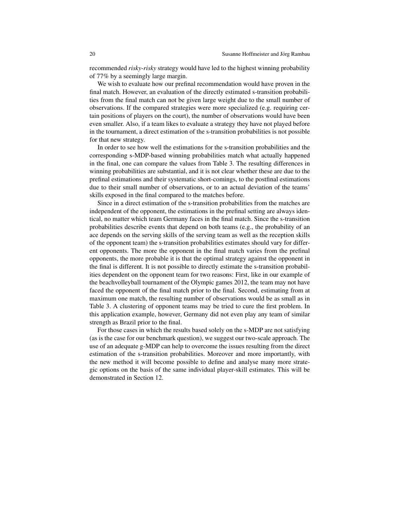recommended *risky*-*risky* strategy would have led to the highest winning probability of 77% by a seemingly large margin.

We wish to evaluate how our prefinal recommendation would have proven in the final match. However, an evaluation of the directly estimated s-transition probabilities from the final match can not be given large weight due to the small number of observations. If the compared strategies were more specialized (e.g. requiring certain positions of players on the court), the number of observations would have been even smaller. Also, if a team likes to evaluate a strategy they have not played before in the tournament, a direct estimation of the s-transition probabilities is not possible for that new strategy.

In order to see how well the estimations for the s-transition probabilities and the corresponding s-MDP-based winning probabilities match what actually happened in the final, one can compare the values from Table 3. The resulting differences in winning probabilities are substantial, and it is not clear whether these are due to the prefinal estimations and their systematic short-comings, to the postfinal estimations due to their small number of observations, or to an actual deviation of the teams' skills exposed in the final compared to the matches before.

Since in a direct estimation of the s-transition probabilities from the matches are independent of the opponent, the estimations in the prefinal setting are always identical, no matter which team Germany faces in the final match. Since the s-transition probabilities describe events that depend on both teams (e.g., the probability of an ace depends on the serving skills of the serving team as well as the reception skills of the opponent team) the s-transition probabilities estimates should vary for different opponents. The more the opponent in the final match varies from the prefinal opponents, the more probable it is that the optimal strategy against the opponent in the final is different. It is not possible to directly estimate the s-transition probabilities dependent on the opponent team for two reasons: First, like in our example of the beachvolleyball tournament of the Olympic games 2012, the team may not have faced the opponent of the final match prior to the final. Second, estimating from at maximum one match, the resulting number of observations would be as small as in Table 3. A clustering of opponent teams may be tried to cure the first problem. In this application example, however, Germany did not even play any team of similar strength as Brazil prior to the final.

For those cases in which the results based solely on the s-MDP are not satisfying (as is the case for our benchmark question), we suggest our two-scale approach. The use of an adequate g-MDP can help to overcome the issues resulting from the direct estimation of the s-transition probabilities. Moreover and more importantly, with the new method it will become possible to define and analyse many more strategic options on the basis of the same individual player-skill estimates. This will be demonstrated in Section 12.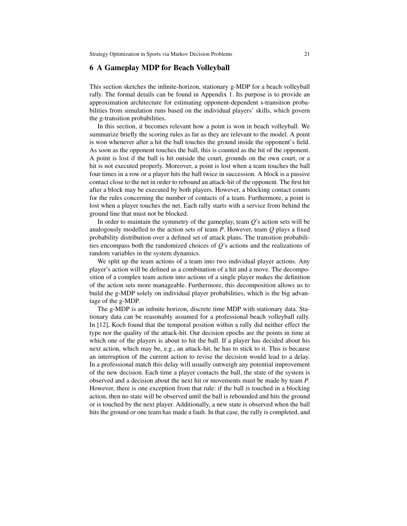#### 6 A Gameplay MDP for Beach Volleyball

This section sketches the infinite-horizon, stationary g-MDP for a beach volleyball rally. The formal details can be found in Appendix 1. Its purpose is to provide an approximation architecture for estimating opponent-dependent s-transition probabilities from simulation runs based on the individual players' skills, which govern the g-transition probabilities.

In this section, it becomes relevant how a point is won in beach volleyball. We summarize briefly the scoring rules as far as they are relevant to the model. A point is won whenever after a hit the ball touches the ground inside the opponent's field. As soon as the opponent touches the ball, this is counted as the hit of the opponent. A point is lost if the ball is hit outside the court, grounds on the own court, or a hit is not executed properly. Moreover, a point is lost when a team touches the ball four times in a row or a player hits the ball twice in succession. A block is a passive contact close to the net in order to rebound an attack-hit of the opponent. The first hit after a block may be executed by both players. However, a blocking contact counts for the rules concerning the number of contacts of a team. Furthermore, a point is lost when a player touches the net. Each rally starts with a service from behind the ground line that must not be blocked.

In order to maintain the symmetry of the gameplay, team *Q*'s action sets will be analogously modelled to the action sets of team *P*. However, team *Q* plays a fixed probability distribution over a defined set of attack plans. The transition probabilities encompass both the randomized choices of *Q*'s actions and the realizations of random variables in the system dynamics.

We split up the team actions of a team into two individual player actions. Any player's action will be defined as a combination of a hit and a move. The decomposition of a complex team action into actions of a single player makes the definition of the action sets more manageable. Furthermore, this decomposition allows us to build the g-MDP solely on individual player probabilities, which is the big advantage of the g-MDP.

The g-MDP is an infinite horizon, discrete time MDP with stationary data. Stationary data can be reasonably assumed for a professional beach volleyball rally. In [12], Koch found that the temporal position within a rally did neither effect the type nor the quality of the attack-hit. Our decision epochs are the points in time at which one of the players is about to hit the ball. If a player has decided about his next action, which may be, e.g., an attack-hit, he has to stick to it. This is because an interruption of the current action to revise the decision would lead to a delay. In a professional match this delay will usually outweigh any potential improvement of the new decision. Each time a player contacts the ball, the state of the system is observed and a decision about the next hit or movements must be made by team *P*. However, there is one exception from that rule: if the ball is touched in a blocking action, then no state will be observed until the ball is rebounded and hits the ground or is touched by the next player. Additionally, a new state is observed when the ball hits the ground or one team has made a fault. In that case, the rally is completed, and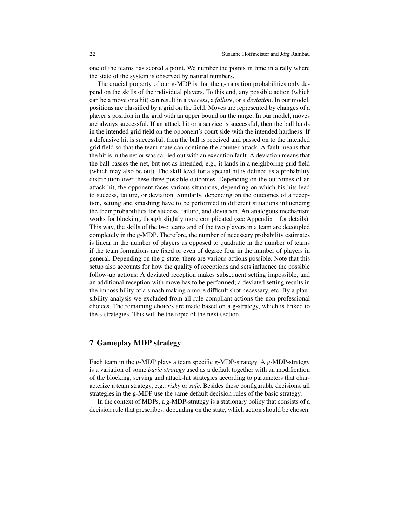one of the teams has scored a point. We number the points in time in a rally where the state of the system is observed by natural numbers.

The crucial property of our g-MDP is that the g-transition probabilities only depend on the skills of the individual players. To this end, any possible action (which can be a move or a hit) can result in a *success*, a *failure*, or a *deviation*. In our model, positions are classified by a grid on the field. Moves are represented by changes of a player's position in the grid with an upper bound on the range. In our model, moves are always successful. If an attack hit or a service is successful, then the ball lands in the intended grid field on the opponent's court side with the intended hardness. If a defensive hit is successful, then the ball is received and passed on to the intended grid field so that the team mate can continue the counter-attack. A fault means that the hit is in the net or was carried out with an execution fault. A deviation means that the ball passes the net, but not as intended, e.g., it lands in a neighboring grid field (which may also be out). The skill level for a special hit is defined as a probability distribution over these three possible outcomes. Depending on the outcomes of an attack hit, the opponent faces various situations, depending on which his hits lead to success, failure, or deviation. Similarly, depending on the outcomes of a reception, setting and smashing have to be performed in different situations influencing the their probabilities for success, failure, and deviation. An analogous mechanism works for blocking, though slightly more complicated (see Appendix 1 for details). This way, the skills of the two teams and of the two players in a team are decoupled completely in the g-MDP. Therefore, the number of necessary probability estimates is linear in the number of players as opposed to quadratic in the number of teams if the team formations are fixed or even of degree four in the number of players in general. Depending on the g-state, there are various actions possible. Note that this setup also accounts for how the quality of receptions and sets influence the possible follow-up actions: A deviated reception makes subsequent setting impossible, and an additional reception with move has to be performed; a deviated setting results in the impossibility of a smash making a more difficult shot necessary, etc. By a plausibility analysis we excluded from all rule-compliant actions the non-professional choices. The remaining choices are made based on a g-strategy, which is linked to the s-strategies. This will be the topic of the next section.

### 7 Gameplay MDP strategy

Each team in the g-MDP plays a team specific g-MDP-strategy. A g-MDP-strategy is a variation of some *basic strategy* used as a default together with an modification of the blocking, serving and attack-hit strategies according to parameters that characterize a team strategy, e.g., *risky* or *safe*. Besides these configurable decisions, all strategies in the g-MDP use the same default decision rules of the basic strategy.

In the context of MDPs, a g-MDP-strategy is a stationary policy that consists of a decision rule that prescribes, depending on the state, which action should be chosen.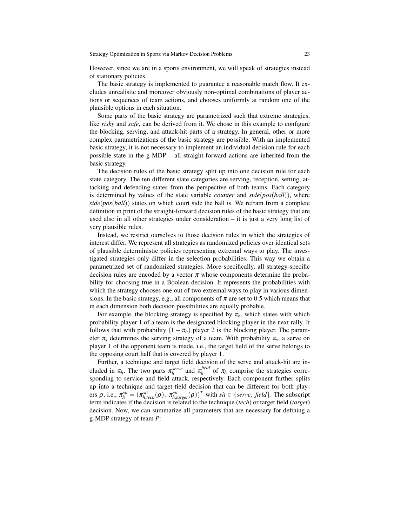However, since we are in a sports environment, we will speak of strategies instead of stationary policies.

The basic strategy is implemented to guarantee a reasonable match flow. It excludes unrealistic and moreover obviously non-optimal combinations of player actions or sequences of team actions, and chooses uniformly at random one of the plausible options in each situation.

Some parts of the basic strategy are parametrized such that extreme strategies, like *risky* and *safe*, can be derived from it. We chose in this example to configure the blocking, serving, and attack-hit parts of a strategy. In general, other or more complex parametrizations of the basic strategy are possible. With an implemented basic strategy, it is not necessary to implement an individual decision rule for each possible state in the g-MDP – all straight-forward actions are inherited from the basic strategy.

The decision rules of the basic strategy split up into one decision rule for each state category. The ten different state categories are serving, reception, setting, attacking and defending states from the perspective of both teams. Each category is determined by values of the state variable *counter* and *side*(*pos*(*ball*)), where *side*(*pos*(*ball*)) states on which court side the ball is. We refrain from a complete definition in print of the straight-forward decision rules of the basic strategy that are used also in all other strategies under consideration – it is just a very long list of very plausible rules.

Instead, we restrict ourselves to those decision rules in which the strategies of interest differ. We represent all strategies as randomized policies over identical sets of plausible deterministic policies representing extremal ways to play. The investigated strategies only differ in the selection probabilities. This way we obtain a parametrized set of randomized strategies. More specifically, all strategy-specific decision rules are encoded by a vector  $\pi$  whose components determine the probability for choosing true in a Boolean decision. It represents the probabilities with which the strategy chooses one out of two extremal ways to play in various dimensions. In the basic strategy, e.g., all components of  $\pi$  are set to 0.5 which means that in each dimension both decision possibilities are equally probable.

For example, the blocking strategy is specified by  $\pi_b$ , which states with which probability player 1 of a team is the designated blocking player in the next rally. It follows that with probability  $(1 - \pi_b)$  player 2 is the blocking player. The parameter  $\pi_s$  determines the serving strategy of a team. With probability  $\pi_s$ , a serve on player 1 of the opponent team is made, i.e., the target field of the serve belongs to the opposing court half that is covered by player 1.

Further, a technique and target field decision of the serve and attack-hit are included in  $\pi_h$ . The two parts  $\pi_h^{serve}$  and  $\pi_h^{field}$  $\int_h^{peak}$  of  $\pi_h$  comprise the strategies corresponding to service and field attack, respectively. Each component further splits up into a technique and target field decision that can be different for both players  $\rho$ , i.e.,  $\pi_h^{sit} = (\pi_{h,tech}^{sit}(\rho), \pi_{h, target}^{sit}(\rho))^T$  with  $sit \in \{serve, field\}$ . The subscript term indicates if the decision is related to the technique (*tech*) or target field (*target*) decision. Now, we can summarize all parameters that are necessary for defining a g-MDP strategy of team *P*: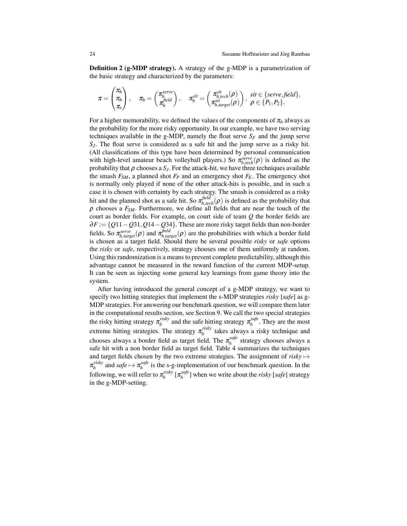Definition 2 (g-MDP strategy). A strategy of the g-MDP is a parametrization of the basic strategy and characterized by the parameters:

$$
\pi = \begin{pmatrix} \pi_h \\ \pi_b \\ \pi_s \end{pmatrix}, \quad \pi_h = \begin{pmatrix} \pi_h^{serve} \\ \pi_h^{field} \end{pmatrix}, \quad \pi_h^{sit} = \begin{pmatrix} \pi_{h,tech}^{sit}(\rho) \\ \pi_{h, target}^{sit}(\rho) \end{pmatrix}, \text{ } sit \in \{serve, field\},
$$

For a higher memorability, we defined the values of the components of  $\pi_h$  always as the probability for the more risky opportunity. In our example, we have two serving techniques available in the g-MDP, namely the float serve  $S_F$  and the jump serve *S<sup>J</sup>* . The float serve is considered as a safe hit and the jump serve as a risky hit. (All classifications of this type have been determined by personal communication with high-level amateur beach volleyball players.) So  $\pi_{h,tech}^{serve}(\rho)$  is defined as the probability that  $\rho$  chooses a  $S_J$ . For the attack-hit, we have three techniques available the smash  $F_{SM}$ , a planned shot  $F_P$  and an emergency shot  $F_E$ . The emergency shot is normally only played if none of the other attack-hits is possible, and in such a case it is chosen with certainty by each strategy. The smash is considered as a risky hit and the planned shot as a safe hit. So  $\pi_{h,tech}^{field}(\rho)$  is defined as the probability that  $\rho$  chooses a  $F_{SM}$ . Furthermore, we define all fields that are near the touch of the court as border fields. For example, on court side of team *Q* the border fields are ∂*F* := {*Q*11−*Q*31,*Q*14−*Q*34}. These are more risky target fields than non-border fields. So  $\pi_{h, target}^{serve}(\rho)$  and  $\pi_{h, target}^{field}(\rho)$  are the probabilities with which a border field is chosen as a target field. Should there be several possible *risky* or *safe* options the *risky* or *safe*, respectively, strategy chooses one of them uniformly at random. Using this randomization is a means to prevent complete predictability, although this advantage cannot be measured in the reward function of the current MDP-setup. It can be seen as injecting some general key learnings from game theory into the system.

After having introduced the general concept of a g-MDP strategy, we want to specify two hitting strategies that implement the s-MDP strategies *risky* [*safe*] as g-MDP strategies. For answering our benchmark question, we will compare them later in the computational results section, see Section 9. We call the two special strategies the risky hitting strategy  $\pi_h^{risky}$  and the safe hitting strategy  $\pi_h^{safe}$ . They are the most  $h$  and the sate inting strategy  $h_h$ extreme hitting strategies. The strategy  $\pi_h^{risky}$  $h_h^{H3KY}$  takes always a risky technique and chooses always a border field as target field. The  $\pi_h^{safe}$  $h_h^{sage}$  strategy chooses always a safe hit with a non border field as target field. Table 4 summarizes the techniques and target fields chosen by the two extreme strategies. The assignment of  $\operatorname{risky} \mapsto$  $\pi_h^{risky}$  and  $safe \mapsto \pi_h^{safe}$  is the s-g-implementation of our benchmark question. In the  $h$  and suje  $\rightarrow \mu_h$ following, we will refer to  $\pi_h^{risky}$ *h* [π *safe*  $\binom{sqe}{h}$  when we write about the *risky* [*safe*] strategy in the g-MDP-setting.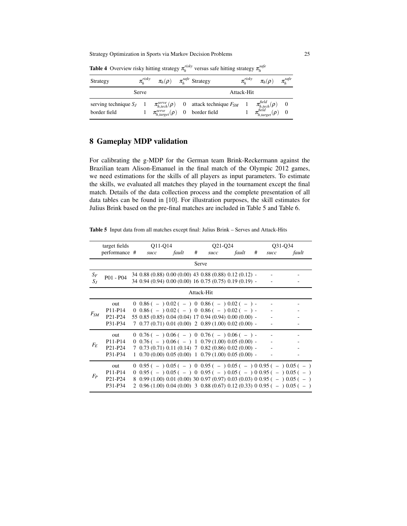Strategy Optimization in Sports via Markov Decision Problems 25

| Strategy                | $\_risky$<br>$\pi_{\iota}$ | $\pi_h(\rho)$ | $\pi_i^{safe}$ Strategy                                  | $\pi_{\scriptscriptstyle L}^{risky}$ | $\pi_h(\rho)$                   | $\pi_{\scriptscriptstyle h}^{\scriptscriptstyle safe}$ |
|-------------------------|----------------------------|---------------|----------------------------------------------------------|--------------------------------------|---------------------------------|--------------------------------------------------------|
|                         | Serve                      |               |                                                          | Attack-Hit                           |                                 |                                                        |
| serving technique $S_J$ |                            |               | $\pi_{h,tech}^{serve}(\rho)$ 0 attack technique $F_{SM}$ |                                      | $\pi^{field}_{h,tech}(\rho)$    | $\theta$                                               |
| border field            |                            |               | $\pi_{h, target}^{serve}(\rho)$ 0 border field           |                                      | $\pi^{field}_{h, target}(\rho)$ | $\Omega$                                               |

**Table 4** Overview risky hitting strategy  $\pi_h^{risky}$  versus safe hitting strategy  $\pi_h^{safe}$ 

## 8 Gameplay MDP validation

For calibrating the g-MDP for the German team Brink-Reckermann against the Brazilian team Alison-Emanuel in the final match of the Olympic 2012 games, we need estimations for the skills of all players as input parameters. To estimate the skills, we evaluated all matches they played in the tournament except the final match. Details of the data collection process and the complete presentation of all data tables can be found in [10]. For illustration purposes, the skill estimates for Julius Brink based on the pre-final matches are included in Table 5 and Table 6.

Table 5 Input data from all matches except final: Julius Brink – Serves and Attack-Hits

|                | target fields                                                 | Q11-Q14 |       |   | Q21-Q24                                                                                                                                                                                                                          |  |       |   | Q31-Q34 |                                                                                                                                                                                                                                                                                                   |  |
|----------------|---------------------------------------------------------------|---------|-------|---|----------------------------------------------------------------------------------------------------------------------------------------------------------------------------------------------------------------------------------|--|-------|---|---------|---------------------------------------------------------------------------------------------------------------------------------------------------------------------------------------------------------------------------------------------------------------------------------------------------|--|
|                | performance #                                                 | succ    | fault | # | succ                                                                                                                                                                                                                             |  | fault | # | succ    | fault                                                                                                                                                                                                                                                                                             |  |
|                |                                                               |         |       |   | Serve                                                                                                                                                                                                                            |  |       |   |         |                                                                                                                                                                                                                                                                                                   |  |
| $S_F$<br>$S_J$ | P01 - P04                                                     |         |       |   | 34 0.88 (0.88) 0.00 (0.00) 43 0.88 (0.88) 0.12 (0.12) -<br>34 0.94 (0.94) 0.00 (0.00) 16 0.75 (0.75) 0.19 (0.19) -                                                                                                               |  |       |   |         |                                                                                                                                                                                                                                                                                                   |  |
|                |                                                               |         |       |   | Attack-Hit                                                                                                                                                                                                                       |  |       |   |         |                                                                                                                                                                                                                                                                                                   |  |
| $F_{SM}$       | out<br>P11-P14<br>P21-P24<br>P31-P34                          |         |       |   | $0.086(-)0.02(-)0.086(-)0.02(-)$<br>$0.086(-)0.02(-)0.086(-)0.02(-)$<br>55 0.85 (0.85) 0.04 (0.04) 17 0.94 (0.94) 0.00 (0.00) -<br>$7\quad 0.77\ (0.71)\ 0.01\ (0.00)\ 2\ 0.89\ (1.00)\ 0.02\ (0.00)$ -                          |  |       |   |         |                                                                                                                                                                                                                                                                                                   |  |
| $F_E$          | out<br>P11-P14<br>P <sub>21</sub> -P <sub>24</sub><br>P31-P34 |         |       |   | $0.076(-)0.06(-)0.076(-)0.06(-)$<br>$0.076(-)0.06(-)10.79(1.00)0.05(0.00)$<br>$7\;0.73\; (0.71)\; 0.11\; (0.14)\; 7\; 0.82\; (0.86)\; 0.02\; (0.00)\; -$<br>$1\quad 0.70\ (0.00)\ 0.05\ (0.00)\ 1\ 0.79\ (1.00)\ 0.05\ (0.00)$ - |  |       |   |         |                                                                                                                                                                                                                                                                                                   |  |
| $F_P$          | out<br>P11-P14<br>P <sub>21</sub> -P <sub>24</sub><br>P31-P34 |         |       |   |                                                                                                                                                                                                                                  |  |       |   |         | $0.05(-)0.05(-)0.05(-)0.95(-)0.05(-)0.05(-)0.05(-)$<br>$0$ 0.95 ( - ) 0.05 ( - ) 0 0.95 ( - ) 0.05 ( - ) 0.0.95 ( - ) 0.05 ( - )<br>$8$ 0.99 (1.00) 0.01 (0.00) 30 0.97 (0.97) 0.03 (0.03) 0 0.95 ( - ) 0.05 ( - )<br>2 0.96 (1.00) 0.04 (0.00) 3 0.88 (0.67) 0.12 (0.33) 0 0.95 ( - ) 0.05 ( - ) |  |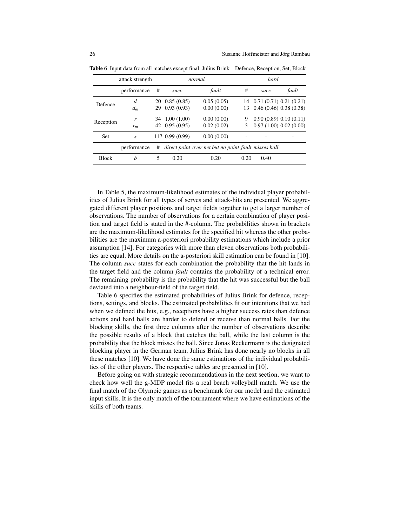|              | attack strength |    | normal                              |                                                      |        | hard                                                  |       |  |  |
|--------------|-----------------|----|-------------------------------------|------------------------------------------------------|--------|-------------------------------------------------------|-------|--|--|
|              | performance     | #  | succ                                | fault                                                | #      | succ                                                  | fault |  |  |
| Defence      | d<br>$d_m$      | 29 | $20\quad0.85\ (0.85)$<br>0.93(0.93) | 0.05(0.05)<br>0.00(0.00)                             | 13     | $14$ 0.71 (0.71) 0.21 (0.21)<br>0.46(0.46) 0.38(0.38) |       |  |  |
| Reception    | r<br>$r_m$      |    | 34 1.00 (1.00)<br>42 $0.95(0.95)$   | 0.00(0.00)<br>0.02(0.02)                             | 9<br>3 | 0.90(0.89)0.10(0.11)<br>0.97(1.00)0.02(0.00)          |       |  |  |
| <b>Set</b>   | $\mathcal{S}$   |    | 117 0.99 (0.99)                     | 0.00(0.00)                                           |        |                                                       |       |  |  |
|              | performance     | #  |                                     | direct point over net but no point fault misses ball |        |                                                       |       |  |  |
| <b>Block</b> | h               | 5  | 0.20                                | 0.20                                                 | 0.20   | 0.40                                                  |       |  |  |
|              |                 |    |                                     |                                                      |        |                                                       |       |  |  |

Table 6 Input data from all matches except final: Julius Brink – Defence, Reception, Set, Block

In Table 5, the maximum-likelihood estimates of the individual player probabilities of Julius Brink for all types of serves and attack-hits are presented. We aggregated different player positions and target fields together to get a larger number of observations. The number of observations for a certain combination of player position and target field is stated in the #-column. The probabilities shown in brackets are the maximum-likelihood estimates for the specified hit whereas the other probabilities are the maximum a-posteriori probability estimations which include a prior assumption [14]. For categories with more than eleven observations both probabilities are equal. More details on the a-posteriori skill estimation can be found in [10]. The column *succ* states for each combination the probability that the hit lands in the target field and the column *fault* contains the probability of a technical error. The remaining probability is the probability that the hit was successful but the ball deviated into a neighbour-field of the target field.

Table 6 specifies the estimated probabilities of Julius Brink for defence, receptions, settings, and blocks. The estimated probabilities fit our intentions that we had when we defined the hits, e.g., receptions have a higher success rates than defence actions and hard balls are harder to defend or receive than normal balls. For the blocking skills, the first three columns after the number of observations describe the possible results of a block that catches the ball, while the last column is the probability that the block misses the ball. Since Jonas Reckermann is the designated blocking player in the German team, Julius Brink has done nearly no blocks in all these matches [10]. We have done the same estimations of the individual probabilities of the other players. The respective tables are presented in [10].

Before going on with strategic recommendations in the next section, we want to check how well the g-MDP model fits a real beach volleyball match. We use the final match of the Olympic games as a benchmark for our model and the estimated input skills. It is the only match of the tournament where we have estimations of the skills of both teams.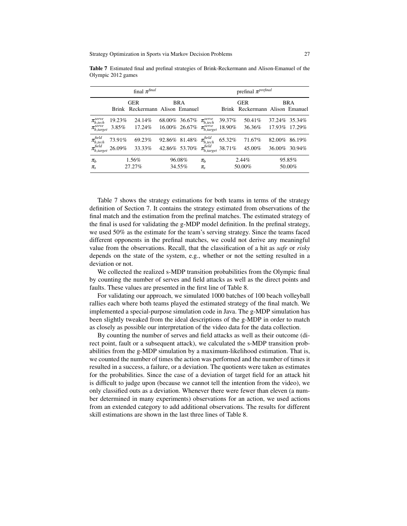|                           |        | final $\pi^{final}$             |            |               | prefinal $\pi^{prefinal}$ |        |                                 |        |        |  |  |
|---------------------------|--------|---------------------------------|------------|---------------|---------------------------|--------|---------------------------------|--------|--------|--|--|
|                           |        | <b>GER</b>                      | <b>BRA</b> |               |                           |        | <b>GER</b>                      |        | BRA    |  |  |
|                           |        | Brink Reckermann Alison Emanuel |            |               |                           |        | Brink Reckermann Alison Emanuel |        |        |  |  |
| $\pi_{h,tech}^{serve}$    | 19.23% | 24.14%                          |            | 68.00% 36.67% | $\pi_{h,tech}^{serve}$    | 39.37% | 50.41%                          | 37.24% | 35.34% |  |  |
| $\pi_{h, target}^{serve}$ | 3.85%  | 17.24%                          |            | 16.00% 26.67% | $\pi_{h, target}^{serve}$ | 18.90% | 36.36%                          | 17.93% | 17.29% |  |  |
| $\pi^{field}_{h,tech}$    | 73.91% | 69.23%                          |            | 92.86% 81.48% | $\pi^{field}_{h,tech}$    | 65.32% | 71.67%                          | 82.00% | 86.19% |  |  |
| $\pi^{field}_{h, target}$ | 26.09% | 33.33%                          |            | 42.86% 53.70% | $\pi^{field}_{h, target}$ | 38.71% | 45.00%                          | 36.00% | 30.94% |  |  |
| $\pi_b$                   |        | 1.56%                           |            | 96.08%        | $\pi_h$                   |        | 2.44%                           |        | 95.85% |  |  |
| $\pi_{\rm s}$             |        | 27.27%                          |            | 34.55%        | $\pi_{\rm c}$             |        | 50.00%                          | 50.00% |        |  |  |

Table 7 Estimated final and prefinal strategies of Brink-Reckermann and Alison-Emanuel of the Olympic 2012 games

Table 7 shows the strategy estimations for both teams in terms of the strategy definition of Section 7. It contains the strategy estimated from observations of the final match and the estimation from the prefinal matches. The estimated strategy of the final is used for validating the g-MDP model definition. In the prefinal strategy, we used 50% as the estimate for the team's serving strategy. Since the teams faced different opponents in the prefinal matches, we could not derive any meaningful value from the observations. Recall, that the classification of a hit as *safe* or *risky* depends on the state of the system, e.g., whether or not the setting resulted in a deviation or not.

We collected the realized s-MDP transition probabilities from the Olympic final by counting the number of serves and field attacks as well as the direct points and faults. These values are presented in the first line of Table 8.

For validating our approach, we simulated 1000 batches of 100 beach volleyball rallies each where both teams played the estimated strategy of the final match. We implemented a special-purpose simulation code in Java. The g-MDP simulation has been slightly tweaked from the ideal descriptions of the g-MDP in order to match as closely as possible our interpretation of the video data for the data collection.

By counting the number of serves and field attacks as well as their outcome (direct point, fault or a subsequent attack), we calculated the s-MDP transition probabilities from the g-MDP simulation by a maximum-likelihood estimation. That is, we counted the number of times the action was performed and the number of times it resulted in a success, a failure, or a deviation. The quotients were taken as estimates for the probabilities. Since the case of a deviation of target field for an attack hit is difficult to judge upon (because we cannot tell the intention from the video), we only classified outs as a deviation. Whenever there were fewer than eleven (a number determined in many experiments) observations for an action, we used actions from an extended category to add additional observations. The results for different skill estimations are shown in the last three lines of Table 8.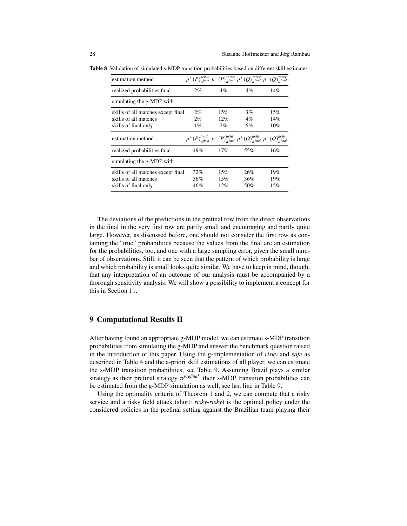| estimation method                  |       |        | $(p^+(P)_{\pi^{\text{final}}}^{\text{serve}} p^-(P)_{\pi^{\text{final}}}^{\text{serve}} p^+(Q)_{\pi^{\text{final}}}^{\text{serve}} p^-(Q)_{\pi^{\text{final}}}^{\text{serve}}$ |     |
|------------------------------------|-------|--------|--------------------------------------------------------------------------------------------------------------------------------------------------------------------------------|-----|
| realized probabilities final       | $2\%$ | $4\%$  | $4\%$                                                                                                                                                                          | 14% |
| simulating the g-MDP with          |       |        |                                                                                                                                                                                |     |
| skills of all matches except final | 2%    | 15%    | $3\%$                                                                                                                                                                          | 15% |
| skills of all matches              | $2\%$ | $12\%$ | $4\%$                                                                                                                                                                          | 14% |
| skills of final only               | $1\%$ | 2%     | 6%                                                                                                                                                                             | 10% |
|                                    |       |        |                                                                                                                                                                                |     |
| estimation method                  |       |        | $p^+(P)_{\pi \text{final}}^{\text{field}} p^-(P)_{\pi \text{final}}^{\text{field}} p^+(Q)_{\pi \text{final}}^{\text{field}} p^-(Q)_{\pi \text{final}}^{\text{field}}$          |     |
| realized probabilities final       | 49%   | $17\%$ | 55%                                                                                                                                                                            | 16% |
| simulating the g-MDP with          |       |        |                                                                                                                                                                                |     |
| skills of all matches except final | 32%   | 15%    | 26%                                                                                                                                                                            | 19% |
| skills of all matches              | 36%   | 15%    | 36%                                                                                                                                                                            | 19% |

Table 8 Validation of simulated s-MDP transition probabilities based on different skill estimates

The deviations of the predictions in the prefinal row from the direct observations in the final in the very first row are partly small and encouraging and partly quite large. However, as discussed before, one should not consider the first row as containing the "true" probabilities because the values from the final are an estimation for the probabilities, too, and one with a large sampling error, given the small number of observations. Still, it can be seen that the pattern of which probability is large and which probability is small looks quite similar. We have to keep in mind, though, that any interpretation of an outcome of our analysis must be accompanied by a thorough sensitivity analysis. We will show a possibility to implement a concept for this in Section 11.

#### 9 Computational Results II

After having found an appropriate g-MDP model, we can estimate s-MDP transition probabilities from simulating the g-MDP and answer the benchmark question raised in the introduction of this paper. Using the g-implementation of *risky* and *safe* as described in Table 4 and the a-priori skill estimations of all player, we can estimate the s-MDP transition probabilities, see Table 9. Assuming Brazil plays a similar strategy as their prefinal strategy  $\pi^{prefinal}$ , their s-MDP transition probabilities can be estimated from the g-MDP simulation as well, see last line in Table 9.

Using the optimality criteria of Theorem 1 and 2, we can compute that a risky service and a risky field attack (short: *risky*-*risky*) is the optimal policy under the considered policies in the prefinal setting against the Brazilian team playing their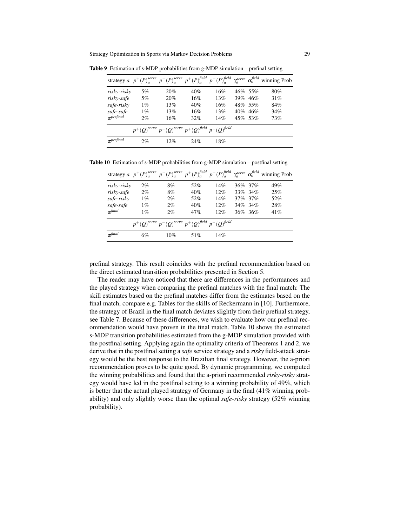|                       |       |                                                                                                                 |     |     |            |     | strategy a $p^+(P)_{a}^{serve}$ $p^-(P)_{a}^{serve}$ $p^+(P)_{a}^{field}$ $p^-(P)_{a}^{field}$ $\gamma_a^{serve}$ $\alpha_a^{field}$ winning Prob |
|-----------------------|-------|-----------------------------------------------------------------------------------------------------------------|-----|-----|------------|-----|---------------------------------------------------------------------------------------------------------------------------------------------------|
| risky-risky           | 5%    | 20%                                                                                                             | 40% | 16% | $46\%$ 55% |     | 80%                                                                                                                                               |
| risky-safe            | 5%    | 20%                                                                                                             | 16% | 13% | 39%        | 46% | 31%                                                                                                                                               |
| safe-risky            | $1\%$ | 13%                                                                                                             | 40% | 16% | 48% 55%    |     | 84%                                                                                                                                               |
| safe-safe             | 1%    | 13%                                                                                                             | 16% | 13% | 40%        | 46% | 34%                                                                                                                                               |
| $\pi$ <i>prefinal</i> | 2%    | 16%                                                                                                             | 32% | 14% | 45% 53%    |     | 73%                                                                                                                                               |
|                       |       | $p^{+}(Q)$ <sup>serve</sup> $p^{-}(Q)$ <sup>serve</sup> $p^{+}(Q)$ <sup>field</sup> $p^{-}(Q)$ <sup>field</sup> |     |     |            |     |                                                                                                                                                   |
| $\pi^{prefinal}$      | 2%    | 12%                                                                                                             | 24% | 18% |            |     |                                                                                                                                                   |

Table 9 Estimation of s-MDP probabilities from g-MDP simulation – prefinal setting

Table 10 Estimation of s-MDP probabilities from g-MDP simulation – postfinal setting

|               |       |                                                                                                         |     |     |           | strategy a $p^+(P)_{a}^{serve}$ $p^-(P)_{a}^{serve}$ $p^+(P)_{a}^{field}$ $p^-(P)_{a}^{field}$ $\gamma_a^{serve}$ $\alpha_a^{field}$ winning Prob |
|---------------|-------|---------------------------------------------------------------------------------------------------------|-----|-----|-----------|---------------------------------------------------------------------------------------------------------------------------------------------------|
| risky-risky   | $2\%$ | 8%                                                                                                      | 52% | 14% | 36\% 37\% | 49%                                                                                                                                               |
| risky-safe    | $2\%$ | 8%                                                                                                      | 40% | 12% | 33% 34%   | 25%                                                                                                                                               |
| safe-risky    | $1\%$ | $2\%$                                                                                                   | 52% | 14% | 37% 37%   | 52%                                                                                                                                               |
| safe-safe     | $1\%$ | $2\%$                                                                                                   | 40% | 12% | 34% 34%   | 28%                                                                                                                                               |
| $\pi$ final   | 1%    | 2%                                                                                                      | 47% | 12% | 36\% 36\% | 41%                                                                                                                                               |
|               |       | $p^+(Q)$ <sup>serve</sup> $p^-(Q)$ <sup>serve</sup> $p^+(Q)$ <sup>field</sup> $p^-(Q)$ <sup>field</sup> |     |     |           |                                                                                                                                                   |
| $\pi^{final}$ | 6%    | 10%                                                                                                     | 51% | 14% |           |                                                                                                                                                   |

prefinal strategy. This result coincides with the prefinal recommendation based on the direct estimated transition probabilities presented in Section 5.

The reader may have noticed that there are differences in the performances and the played strategy when comparing the prefinal matches with the final match: The skill estimates based on the prefinal matches differ from the estimates based on the final match, compare e.g. Tables for the skills of Reckermann in [10]. Furthermore, the strategy of Brazil in the final match deviates slightly from their prefinal strategy, see Table 7. Because of these differences, we wish to evaluate how our prefinal recommendation would have proven in the final match. Table 10 shows the estimated s-MDP transition probabilities estimated from the g-MDP simulation provided with the postfinal setting. Applying again the optimality criteria of Theorems 1 and 2, we derive that in the postfinal setting a *safe* service strategy and a *risky* field-attack strategy would be the best response to the Brazilian final strategy. However, the a-priori recommendation proves to be quite good. By dynamic programming, we computed the winning probabilities and found that the a-priori recommended *risky*-*risky* strategy would have led in the postfinal setting to a winning probability of 49%, which is better that the actual played strategy of Germany in the final (41% winning probability) and only slightly worse than the optimal *safe*-*risky* strategy (52% winning probability).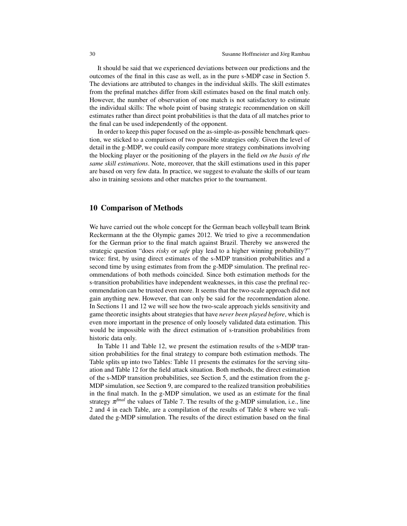It should be said that we experienced deviations between our predictions and the outcomes of the final in this case as well, as in the pure s-MDP case in Section 5. The deviations are attributed to changes in the individual skills. The skill estimates from the prefinal matches differ from skill estimates based on the final match only. However, the number of observation of one match is not satisfactory to estimate the individual skills: The whole point of basing strategic recommendation on skill estimates rather than direct point probabilities is that the data of all matches prior to the final can be used independently of the opponent.

In order to keep this paper focused on the as-simple-as-possible benchmark question, we sticked to a comparison of two possible strategies only. Given the level of detail in the g-MDP, we could easily compare more strategy combinations involving the blocking player or the positioning of the players in the field *on the basis of the same skill estimations*. Note, moreover, that the skill estimations used in this paper are based on very few data. In practice, we suggest to evaluate the skills of our team also in training sessions and other matches prior to the tournament.

#### 10 Comparison of Methods

We have carried out the whole concept for the German beach volleyball team Brink Reckermann at the the Olympic games 2012. We tried to give a recommendation for the German prior to the final match against Brazil. Thereby we answered the strategic question "does *risky* or *safe* play lead to a higher winning probability?" twice: first, by using direct estimates of the s-MDP transition probabilities and a second time by using estimates from from the g-MDP simulation. The prefinal recommendations of both methods coincided. Since both estimation methods for the s-transition probabilities have independent weaknesses, in this case the prefinal recommendation can be trusted even more. It seems that the two-scale approach did not gain anything new. However, that can only be said for the recommendation alone. In Sections 11 and 12 we will see how the two-scale approach yields sensitivity and game theoretic insights about strategies that have *never been played before*, which is even more important in the presence of only loosely validated data estimation. This would be impossible with the direct estimation of s-transition probabilities from historic data only.

In Table 11 and Table 12, we present the estimation results of the s-MDP transition probabilities for the final strategy to compare both estimation methods. The Table splits up into two Tables: Table 11 presents the estimates for the serving situation and Table 12 for the field attack situation. Both methods, the direct estimation of the s-MDP transition probabilities, see Section 5, and the estimation from the g-MDP simulation, see Section 9, are compared to the realized transition probabilities in the final match. In the g-MDP simulation, we used as an estimate for the final strategy π *final* the values of Table 7. The results of the g-MDP simulation, i.e., line 2 and 4 in each Table, are a compilation of the results of Table 8 where we validated the g-MDP simulation. The results of the direct estimation based on the final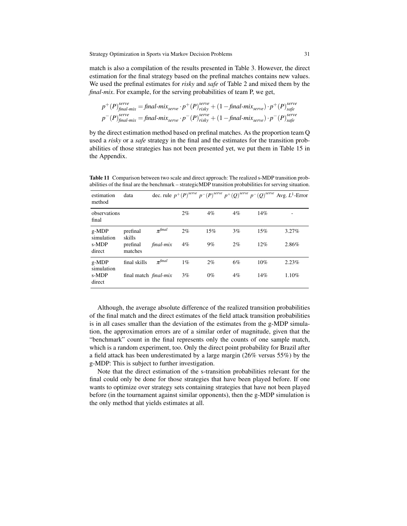match is also a compilation of the results presented in Table 3. However, the direct estimation for the final strategy based on the prefinal matches contains new values. We used the prefinal estimates for *risky* and *safe* of Table 2 and mixed them by the *final-mix*. For example, for the serving probabilities of team P, we get,

$$
p^{+}(P)_{final-mix}^{serve} = \text{final-mix}_{serve} \cdot p^{+}(P)_{risky}^{serve} + (1 - \text{final-mix}_{serve}) \cdot p^{+}(P)_{safe}^{serve}
$$
  

$$
p^{-}(P)_{final-mix}^{serve} = \text{final-mix}_{serve} \cdot p^{-}(P)_{risky}^{serve} + (1 - \text{final-mix}_{serve}) \cdot p^{-}(P)_{safe}^{serve}
$$

by the direct estimation method based on prefinal matches. As the proportion team Q used a *risky* or a *safe* strategy in the final and the estimates for the transition probabilities of those strategies has not been presented yet, we put them in Table 15 in the Appendix.

| estimation<br>method                   | data                                      |                          |             |              |             |            | dec. rule $p^+(P)^{serve} p^-(P)^{serve} p^+(Q)^{serve} p^-(Q)^{serve}$ Avg. $L^1$ -Error |
|----------------------------------------|-------------------------------------------|--------------------------|-------------|--------------|-------------|------------|-------------------------------------------------------------------------------------------|
| observations<br>final                  |                                           |                          | $2\%$       | $4\%$        | $4\%$       | 14%        |                                                                                           |
| g-MDP<br>simulation<br>s-MDP<br>direct | prefinal<br>skills<br>prefinal<br>matches | $\pi$ final<br>final-mix | 2%<br>$4\%$ | 15%<br>$9\%$ | 3%<br>$2\%$ | 15%<br>12% | $3.27\%$<br>2.86%                                                                         |
| g-MDP                                  | final skills                              | $\pi$ final              | $1\%$       | $2\%$        | 6%          | $10\%$     | 2.23%                                                                                     |
| simulation<br>s-MDP<br>direct          | final match <i>final-mix</i>              |                          | 3%          | $0\%$        | $4\%$       | 14%        | 1.10%                                                                                     |

Table 11 Comparison between two scale and direct approach: The realized s-MDP transition probabilities of the final are the benchmark – strategicMDP transition probabilities for serving situation.

Although, the average absolute difference of the realized transition probabilities of the final match and the direct estimates of the field attack transition probabilities is in all cases smaller than the deviation of the estimates from the g-MDP simulation, the approximation errors are of a similar order of magnitude, given that the "benchmark" count in the final represents only the counts of one sample match, which is a random experiment, too. Only the direct point probability for Brazil after a field attack has been underestimated by a large margin (26% versus 55%) by the g-MDP: This is subject to further investigation.

Note that the direct estimation of the s-transition probabilities relevant for the final could only be done for those strategies that have been played before. If one wants to optimize over strategy sets containing strategies that have not been played before (in the tournament against similar opponents), then the g-MDP simulation is the only method that yields estimates at all.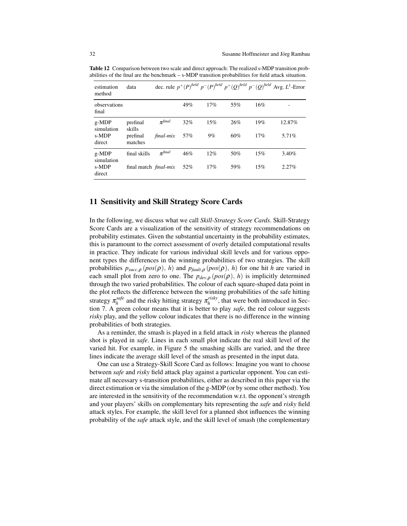| estimation<br>method                       | data                         |             |     |       |     |     | dec. rule $p^+(P)^{field} p^-(P)^{field} p^+(Q)^{field} p^-(Q)^{field}$ Avg. $L^1$ -Error |
|--------------------------------------------|------------------------------|-------------|-----|-------|-----|-----|-------------------------------------------------------------------------------------------|
| observations<br>final                      |                              |             | 49% | 17%   | 55% | 16% |                                                                                           |
| g-MDP<br>simulation<br>s-MDP<br>direct     | prefinal<br>skills           | $\pi$ final | 32% | 15%   | 26% | 19% | 12.87%                                                                                    |
|                                            | prefinal<br>matches          | final-mix   | 57% | $9\%$ | 60% | 17% | 5.71%                                                                                     |
| $g-MDP$<br>simulation<br>$s-MDP$<br>direct | final skills                 | $\pi$ final | 46% | 12%   | 50% | 15% | 3.40%                                                                                     |
|                                            | final match <i>final-mix</i> |             | 52% | 17%   | 59% | 15% | 2.27%                                                                                     |

Table 12 Comparison between two scale and direct approach: The realized s-MDP transition probabilities of the final are the benchmark – s-MDP transition probabilities for field attack situation.

#### 11 Sensitivity and Skill Strategy Score Cards

In the following, we discuss what we call *Skill-Strategy Score Cards*. Skill-Strategy Score Cards are a visualization of the sensitivity of strategy recommendations on probability estimates. Given the substantial uncertainty in the probability estimates, this is paramount to the correct assessment of overly detailed computational results in practice. They indicate for various individual skill levels and for various opponent types the differences in the winning probabilities of two strategies. The skill probabilities  $p_{succ,0} (pos(\rho), h)$  and  $p_{fault,0} (pos(\rho), h)$  for one hit *h* are varied in each small plot from zero to one. The  $p_{dev, \rho}(pos(\rho), h)$  is implicitly determined through the two varied probabilities. The colour of each square-shaped data point in the plot reflects the difference between the winning probabilities of the safe hitting strategy π<sup>safe</sup>  $n_h^{safe}$  and the risky hitting strategy  $\pi_h^{risky}$  $\frac{h}{h}$ , that were both introduced in Section 7. A green colour means that it is better to play *safe*, the red colour suggests *risky* play, and the yellow colour indicates that there is no difference in the winning probabilities of both strategies.

As a reminder, the smash is played in a field attack in *risky* whereas the planned shot is played in *safe*. Lines in each small plot indicate the real skill level of the varied hit. For example, in Figure 5 the smashing skills are varied, and the three lines indicate the average skill level of the smash as presented in the input data.

One can use a Strategy-Skill Score Card as follows: Imagine you want to choose between *safe* and *risky* field attack play against a particular opponent. You can estimate all necessary s-transition probabilities, either as described in this paper via the direct estimation or via the simulation of the g-MDP (or by some other method). You are interested in the sensitivity of the recommendation w.r.t. the opponent's strength and your players' skills on complementary hits representing the *safe* and *risky* field attack styles. For example, the skill level for a planned shot influences the winning probability of the *safe* attack style, and the skill level of smash (the complementary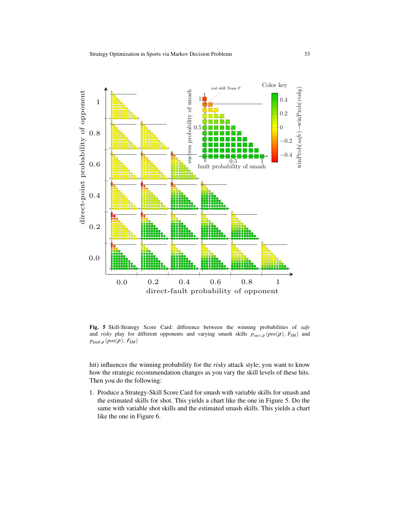

Fig. 5 Skill-Strategy Score Card: difference between the winning probabilities of *safe* and *risky* play for different opponents and varying smash skills  $p_{succ,0} (pos(\rho), F_{SM})$  and *pfault,ρ* (*pos*( $\rho$ )*, F<sub>SM</sub>*)

hit) influences the winning probability for the *risky* attack style; you want to know how the strategic recommendation changes as you vary the skill levels of these hits. Then you do the following:

1. Produce a Strategy-Skill Score Card for smash with variable skills for smash and the estimated skills for shot. This yields a chart like the one in Figure 5. Do the same with variable shot skills and the estimated smash skills. This yields a chart like the one in Figure 6.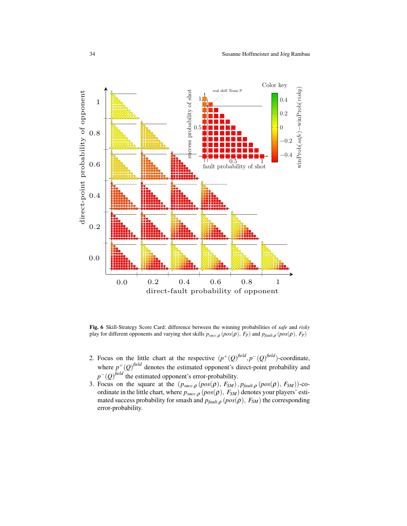

Fig. 6 Skill-Strategy Score Card: difference between the winning probabilities of *safe* and *risky* play for different opponents and varying shot skills  $p_{succ,\rho}(pos(\rho), F_P)$  and  $p_{fault,\rho}(pos(\rho), F_P)$ 

- 2. Focus on the little chart at the respective  $(p^+(Q)^{field}, p^-(Q)^{field})$ -coordinate, where  $p^+(Q)$ <sup>field</sup> denotes the estimated opponent's direct-point probability and *p*<sup>−</sup>(*Q*)<sup>*field*</sup> the estimated opponent's error-probability.
- 3. Focus on the square at the  $(p_{succ,\rho}(pos(\rho), F_{SM}), p_{fault,\rho}(pos(\rho), F_{SM}))$ -coordinate in the little chart, where *psucc*,<sup>ρ</sup> (*pos*(ρ), *FSM*) denotes your players' estimated success probability for smash and  $p_{\text{fault},\rho}$  ( $pos(\rho)$ ,  $F_{SM}$ ) the corresponding error-probability.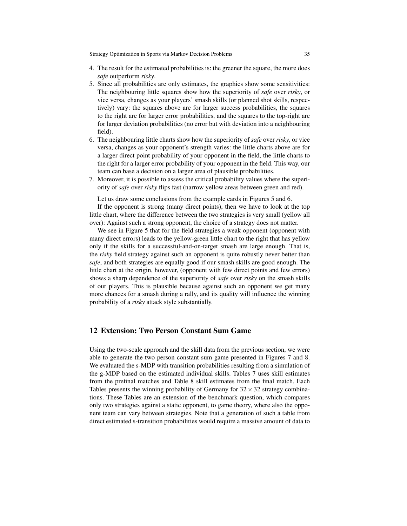Strategy Optimization in Sports via Markov Decision Problems 35

- 4. The result for the estimated probabilities is: the greener the square, the more does *safe* outperform *risky*.
- 5. Since all probabilities are only estimates, the graphics show some sensitivities: The neighbouring little squares show how the superiority of *safe* over *risky*, or vice versa, changes as your players' smash skills (or planned shot skills, respectively) vary: the squares above are for larger success probabilities, the squares to the right are for larger error probabilities, and the squares to the top-right are for larger deviation probabilities (no error but with deviation into a neighbouring field).
- 6. The neighbouring little charts show how the superiority of *safe* over *risky*, or vice versa, changes as your opponent's strength varies: the little charts above are for a larger direct point probability of your opponent in the field, the little charts to the right for a larger error probability of your opponent in the field. This way, our team can base a decision on a larger area of plausible probabilities.
- 7. Moreover, it is possible to assess the critical probability values where the superiority of *safe* over *risky* flips fast (narrow yellow areas between green and red).

Let us draw some conclusions from the example cards in Figures 5 and 6.

If the opponent is strong (many direct points), then we have to look at the top little chart, where the difference between the two strategies is very small (yellow all over): Against such a strong opponent, the choice of a strategy does not matter.

We see in Figure 5 that for the field strategies a weak opponent (opponent with many direct errors) leads to the yellow-green little chart to the right that has yellow only if the skills for a successful-and-on-target smash are large enough. That is, the *risky* field strategy against such an opponent is quite robustly never better than *safe*, and both strategies are equally good if our smash skills are good enough. The little chart at the origin, however, (opponent with few direct points and few errors) shows a sharp dependence of the superiority of *safe* over *risky* on the smash skills of our players. This is plausible because against such an opponent we get many more chances for a smash during a rally, and its quality will influence the winning probability of a *risky* attack style substantially.

#### 12 Extension: Two Person Constant Sum Game

Using the two-scale approach and the skill data from the previous section, we were able to generate the two person constant sum game presented in Figures 7 and 8. We evaluated the s-MDP with transition probabilities resulting from a simulation of the g-MDP based on the estimated individual skills. Tables 7 uses skill estimates from the prefinal matches and Table 8 skill estimates from the final match. Each Tables presents the winning probability of Germany for  $32 \times 32$  strategy combinations. These Tables are an extension of the benchmark question, which compares only two strategies against a static opponent, to game theory, where also the opponent team can vary between strategies. Note that a generation of such a table from direct estimated s-transition probabilities would require a massive amount of data to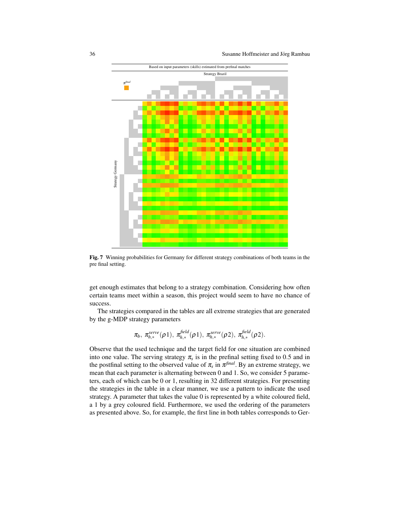

Fig. 7 Winning probabilities for Germany for different strategy combinations of both teams in the pre final setting.

get enough estimates that belong to a strategy combination. Considering how often certain teams meet within a season, this project would seem to have no chance of success.

The strategies compared in the tables are all extreme strategies that are generated by the g-MDP strategy parameters

$$
\pi_b, \ \pi_{h,*}^{serve}(\rho\,1), \ \pi_{h,*}^{field}(\rho\,1), \ \pi_{h,*}^{serve}(\rho\,2), \ \pi_{h,*}^{field}(\rho\,2).
$$

Observe that the used technique and the target field for one situation are combined into one value. The serving strategy  $\pi_s$  is in the prefinal setting fixed to 0.5 and in the postfinal setting to the observed value of  $\pi_s$  in  $\pi^{final}$ . By an extreme strategy, we mean that each parameter is alternating between 0 and 1. So, we consider 5 parameters, each of which can be 0 or 1, resulting in 32 different strategies. For presenting the strategies in the table in a clear manner, we use a pattern to indicate the used strategy. A parameter that takes the value 0 is represented by a white coloured field, a 1 by a grey coloured field. Furthermore, we used the ordering of the parameters as presented above. So, for example, the first line in both tables corresponds to Ger-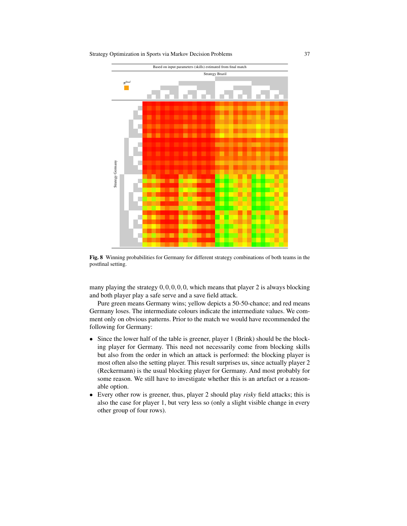

Fig. 8 Winning probabilities for Germany for different strategy combinations of both teams in the postfinal setting.

many playing the strategy 0,0,0,0,0, which means that player 2 is always blocking and both player play a safe serve and a save field attack.

Pure green means Germany wins; yellow depicts a 50-50-chance; and red means Germany loses. The intermediate colours indicate the intermediate values. We comment only on obvious patterns. Prior to the match we would have recommended the following for Germany:

- Since the lower half of the table is greener, player 1 (Brink) should be the blocking player for Germany. This need not necessarily come from blocking skills but also from the order in which an attack is performed: the blocking player is most often also the setting player. This result surprises us, since actually player 2 (Reckermann) is the usual blocking player for Germany. And most probably for some reason. We still have to investigate whether this is an artefact or a reasonable option.
- Every other row is greener, thus, player 2 should play *risky* field attacks; this is also the case for player 1, but very less so (only a slight visible change in every other group of four rows).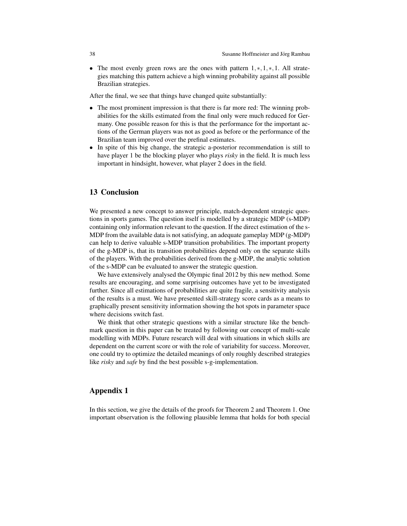• The most evenly green rows are the ones with pattern  $1, *, 1, *, 1$ . All strategies matching this pattern achieve a high winning probability against all possible Brazilian strategies.

After the final, we see that things have changed quite substantially:

- The most prominent impression is that there is far more red: The winning probabilities for the skills estimated from the final only were much reduced for Germany. One possible reason for this is that the performance for the important actions of the German players was not as good as before or the performance of the Brazilian team improved over the prefinal estimates.
- In spite of this big change, the strategic a-posterior recommendation is still to have player 1 be the blocking player who plays *risky* in the field. It is much less important in hindsight, however, what player 2 does in the field.

#### 13 Conclusion

We presented a new concept to answer principle, match-dependent strategic questions in sports games. The question itself is modelled by a strategic MDP (s-MDP) containing only information relevant to the question. If the direct estimation of the s-MDP from the available data is not satisfying, an adequate gameplay MDP (g-MDP) can help to derive valuable s-MDP transition probabilities. The important property of the g-MDP is, that its transition probabilities depend only on the separate skills of the players. With the probabilities derived from the g-MDP, the analytic solution of the s-MDP can be evaluated to answer the strategic question.

We have extensively analysed the Olympic final 2012 by this new method. Some results are encouraging, and some surprising outcomes have yet to be investigated further. Since all estimations of probabilities are quite fragile, a sensitivity analysis of the results is a must. We have presented skill-strategy score cards as a means to graphically present sensitivity information showing the hot spots in parameter space where decisions switch fast.

We think that other strategic questions with a similar structure like the benchmark question in this paper can be treated by following our concept of multi-scale modelling with MDPs. Future research will deal with situations in which skills are dependent on the current score or with the role of variability for success. Moreover, one could try to optimize the detailed meanings of only roughly described strategies like *risky* and *safe* by find the best possible s-g-implementation.

#### Appendix 1

In this section, we give the details of the proofs for Theorem 2 and Theorem 1. One important observation is the following plausible lemma that holds for both special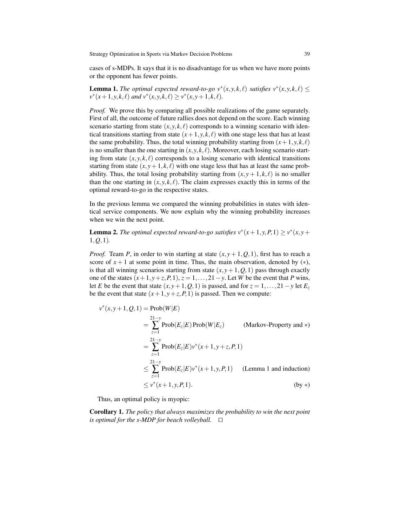Strategy Optimization in Sports via Markov Decision Problems 39

cases of s-MDPs. It says that it is no disadvantage for us when we have more points or the opponent has fewer points.

**Lemma 1.** The optimal expected reward-to-go  $v^*(x, y, k, \ell)$  satisfies  $v^*(x, y, k, \ell) \leq$  $v^*(x+1, y, k, \ell)$  *and*  $v^*(x, y, k, \ell) \ge v^*(x, y+1, k, \ell).$ 

*Proof.* We prove this by comparing all possible realizations of the game separately. First of all, the outcome of future rallies does not depend on the score. Each winning scenario starting from state  $(x, y, k, \ell)$  corresponds to a winning scenario with identical transitions starting from state  $(x+1, y, k, \ell)$  with one stage less that has at least the same probability. Thus, the total winning probability starting from  $(x+1, y, k, \ell)$ is no smaller than the one starting in  $(x, y, k, \ell)$ . Moreover, each losing scenario starting from state  $(x, y, k, l)$  corresponds to a losing scenario with identical transitions starting from state  $(x, y+1, k, \ell)$  with one stage less that has at least the same probability. Thus, the total losing probability starting from  $(x, y + 1, k, \ell)$  is no smaller than the one starting in  $(x, y, k, \ell)$ . The claim expresses exactly this in terms of the optimal reward-to-go in the respective states.

In the previous lemma we compared the winning probabilities in states with identical service components. We now explain why the winning probability increases when we win the next point.

**Lemma 2.** The optimal expected reward-to-go satisfies  $v^*(x+1,y,P,1) \ge v^*(x,y+1)$ 1,*Q*,1)*.*

*Proof.* Team P, in order to win starting at state  $(x, y + 1, 0, 1)$ , first has to reach a score of  $x + 1$  at some point in time. Thus, the main observation, denoted by  $(*)$ , is that all winning scenarios starting from state  $(x, y + 1, Q, 1)$  pass through exactly one of the states  $(x+1, y+z, P, 1), z = 1, \ldots, 21 - y$ . Let *W* be the event that *P* wins, let *E* be the event that state  $(x, y+1, Q, 1)$  is passed, and for  $z = 1, \ldots, 21 - y$  let  $E_z$ be the event that state  $(x+1, y+z, P, 1)$  is passed. Then we compute:

$$
v^*(x, y+1, Q, 1) = Prob(W|E)
$$
  
\n
$$
= \sum_{z=1}^{21-y} Prob(E_z|E) Prob(W|E_z)
$$
 (Markov-Property and \*)  
\n
$$
= \sum_{z=1}^{21-y} Prob(E_z|E)v^*(x+1, y+z, P, 1)
$$
  
\n
$$
\leq \sum_{z=1}^{21-y} Prob(E_z|E)v^*(x+1, y, P, 1)
$$
 (Lemma 1 and induction)  
\n
$$
\leq v^*(x+1, y, P, 1).
$$
 (by \*)

Thus, an optimal policy is myopic:

Corollary 1. *The policy that always maximizes the probability to win the next point is optimal for the s-MDP for beach volleyball.*  $\Box$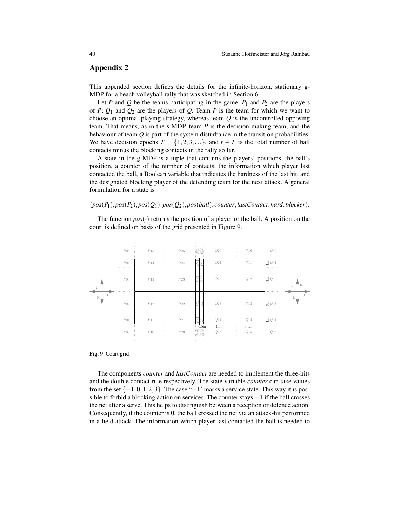#### Appendix 2

This appended section defines the details for the infinite-horizon, stationary g-MDP for a beach volleyball rally that was sketched in Section 6.

Let *P* and *Q* be the teams participating in the game.  $P_1$  and  $P_2$  are the players of *P*;  $Q_1$  and  $Q_2$  are the players of  $Q$ . Team *P* is the team for which we want to choose an optimal playing strategy, whereas team *Q* is the uncontrolled opposing team. That means, as in the s-MDP, team *P* is the decision making team, and the behaviour of team *Q* is part of the system disturbance in the transition probabilities. We have decision epochs  $T = \{1, 2, 3, ...\}$ , and  $t \in T$  is the total number of ball contacts minus the blocking contacts in the rally so far.

A state in the g-MDP is a tuple that contains the players' positions, the ball's position, a counter of the number of contacts, the information which player last contacted the ball, a Boolean variable that indicates the hardness of the last hit, and the designated blocking player of the defending team for the next attack. A general formulation for a state is

#### (*pos*(*P*1),*pos*(*P*2),*pos*(*Q*1),*pos*(*Q*2),*pos*(*ball*), *counter*,*lastContact*,*hard*,*blocker*).

The function  $pos(\cdot)$  returns the position of a player or the ball. A position on the court is defined on basis of the grid presented in Figure 9.



Fig. 9 Court grid

The components *counter* and *lastContact* are needed to implement the three-hits and the double contact rule respectively. The state variable *counter* can take values from the set  $\{-1,0,1,2,3\}$ . The case "−1' marks a service state. This way it is possible to forbid a blocking action on services. The counter stays  $-1$  if the ball crosses the net after a serve. This helps to distinguish between a reception or defence action. Consequently, if the counter is 0, the ball crossed the net via an attack-hit performed in a field attack. The information which player last contacted the ball is needed to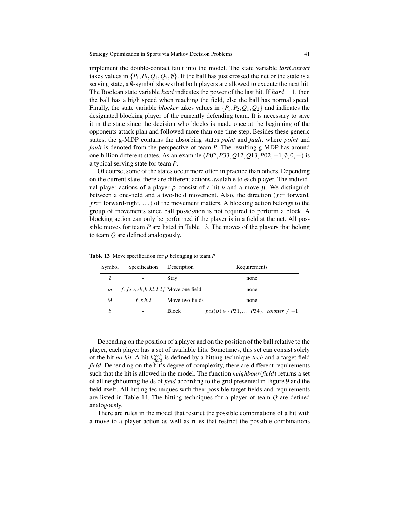implement the double-contact fault into the model. The state variable *lastContact* takes values in  $\{P_1, P_2, Q_1, Q_2, \emptyset\}$ . If the ball has just crossed the net or the state is a serving state, a  $\emptyset$ -symbol shows that both players are allowed to execute the next hit. The Boolean state variable *hard* indicates the power of the last hit. If *hard* = 1, then the ball has a high speed when reaching the field, else the ball has normal speed. Finally, the state variable *blocker* takes values in  $\{P_1, P_2, Q_1, Q_2\}$  and indicates the designated blocking player of the currently defending team. It is necessary to save it in the state since the decision who blocks is made once at the beginning of the opponents attack plan and followed more than one time step. Besides these generic states, the g-MDP contains the absorbing states *point* and *fault*, where *point* and *fault* is denoted from the perspective of team *P*. The resulting g-MDP has around one billion different states. As an example (*P*02,*P*33,*Q*12,*Q*13,*P*02,−1, /0,0,−) is a typical serving state for team *P*.

Of course, some of the states occur more often in practice than others. Depending on the current state, there are different actions available to each player. The individual player actions of a player  $\rho$  consist of a hit *h* and a move  $\mu$ . We distinguish between a one-field and a two-field movement. Also, the direction (*f* := forward, *f r*:= forward-right, ...) of the movement matters. A blocking action belongs to the group of movements since ball possession is not required to perform a block. A blocking action can only be performed if the player is in a field at the net. All possible moves for team *P* are listed in Table 13. The moves of the players that belong to team *Q* are defined analogously.

| Symbol | Specification                                | Description     | Requirements                                         |
|--------|----------------------------------------------|-----------------|------------------------------------------------------|
| Ø      |                                              | Stay            | none                                                 |
| m      | $f, fr, r, rb, b, bl, l, l f$ Move one field |                 | none                                                 |
| M      | f,r,b,l                                      | Move two fields | none                                                 |
| h      |                                              | <b>Block</b>    | $pos(\rho) \in \{P31,\ldots,P34\},\ counter \neq -1$ |

Table 13 Move specification for ρ belonging to team *P*

Depending on the position of a player and on the position of the ball relative to the player, each player has a set of available hits. Sometimes, this set can consist solely of the hit *no hit*. A hit *h*<sup>tech</sup> is defined by a hitting technique *tech* and a target field *field*. Depending on the hit's degree of complexity, there are different requirements such that the hit is allowed in the model. The function *neighbour*(*field*) returns a set of all neighbouring fields of *field* according to the grid presented in Figure 9 and the field itself. All hitting techniques with their possible target fields and requirements are listed in Table 14. The hitting techniques for a player of team *Q* are defined analogously.

There are rules in the model that restrict the possible combinations of a hit with a move to a player action as well as rules that restrict the possible combinations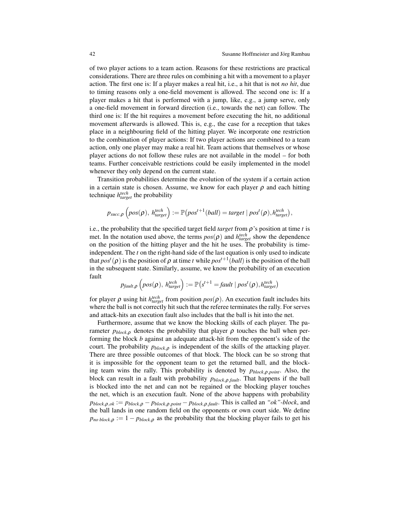of two player actions to a team action. Reasons for these restrictions are practical considerations. There are three rules on combining a hit with a movement to a player action. The first one is: If a player makes a real hit, i.e., a hit that is not *no hit*, due to timing reasons only a one-field movement is allowed. The second one is: If a player makes a hit that is performed with a jump, like, e.g., a jump serve, only a one-field movement in forward direction (i.e., towards the net) can follow. The third one is: If the hit requires a movement before executing the hit, no additional movement afterwards is allowed. This is, e.g., the case for a reception that takes place in a neighbouring field of the hitting player. We incorporate one restriction to the combination of player actions: If two player actions are combined to a team action, only one player may make a real hit. Team actions that themselves or whose player actions do not follow these rules are not available in the model – for both teams. Further conceivable restrictions could be easily implemented in the model whenever they only depend on the current state.

Transition probabilities determine the evolution of the system if a certain action in a certain state is chosen. Assume, we know for each player  $\rho$  and each hitting technique *h tech target* the probability

$$
p_{succ,\rho}\left(\textit{pos}(\rho), \textit{ h_{target}^{tech}}\right) := \mathbb{P}\left(\textit{pos}^{t+1}(\textit{ball}) = \textit{target} \mid \textit{pos}^{t}(\rho), \textit{h_{target}^{tech}}\right),
$$

i.e., the probability that the specified target field *target* from ρ's position at time *t* is met. In the notation used above, the terms  $pos(\rho)$  and  $h_{target}^{tech}$  show the dependence on the position of the hitting player and the hit he uses. The probability is timeindependent. The *t* on the right-hand side of the last equation is only used to indicate that  $pos<sup>t</sup>(\rho)$  is the position of  $\rho$  at time *t* while  $pos<sup>t+1</sup>(ball)$  is the position of the ball in the subsequent state. Similarly, assume, we know the probability of an execution fault

$$
p_{\text{fault},\rho}\left(\text{pos}(\rho),\ \text{h}_{\text{target}}^{\text{tech}}\right) := \mathbb{P}\left(s^{t+1} = \text{fault} \mid \text{pos}^t(\rho),\text{h}_{\text{target}}^{\text{tech}}\right)
$$

for player  $\rho$  using hit *h*<sup>tech</sup> from position  $pos(\rho)$ . An execution fault includes hits where the ball is not correctly hit such that the referee terminates the rally. For serves and attack-hits an execution fault also includes that the ball is hit into the net.

Furthermore, assume that we know the blocking skills of each player. The parameter  $p_{block,\rho}$  denotes the probability that player  $\rho$  touches the ball when performing the block *b* against an adequate attack-hit from the opponent's side of the court. The probability *pblock*,<sup>ρ</sup> is independent of the skills of the attacking player. There are three possible outcomes of that block. The block can be so strong that it is impossible for the opponent team to get the returned ball, and the blocking team wins the rally. This probability is denoted by *pblock*,ρ,*point*. Also, the block can result in a fault with probability *pblock*,ρ,*fault*. That happens if the ball is blocked into the net and can not be regained or the blocking player touches the net, which is an execution fault. None of the above happens with probability  $p_{block, \rho, ok} := p_{block, \rho} - p_{block, \rho, p} - p_{block, \rho, p} - p_{block, \rho, f}$  This is called an *"ok"-block*, and the ball lands in one random field on the opponents or own court side. We define  $p_{no \, block, \rho} := 1 - p_{block, \rho}$  as the probability that the blocking player fails to get his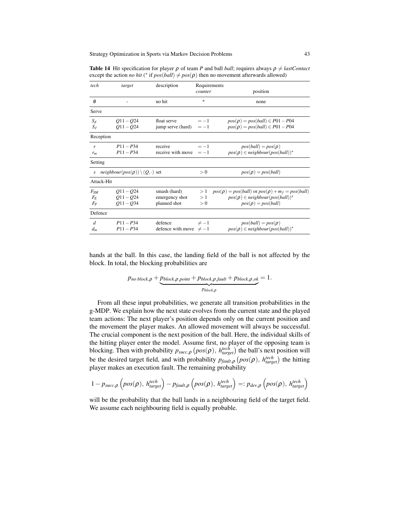**Table 14** Hit specification for player  $\rho$  of team *P* and ball *ball*; requires always  $\rho \neq$  *lastContact* except the action *no hit* (\* if  $pos(ball) \neq pos(\rho)$  then no movement afterwards allowed)

| tech<br>target |                                                         | description                 | Requirements |                                                          |  |  |
|----------------|---------------------------------------------------------|-----------------------------|--------------|----------------------------------------------------------|--|--|
|                |                                                         |                             | counter      | position                                                 |  |  |
| Ø              | $\qquad \qquad -$                                       | no hit                      | *            | none                                                     |  |  |
| Serve          |                                                         |                             |              |                                                          |  |  |
| $S_F$          | $Q11 - Q24$                                             | float serve                 | $=-1$        | $pos(\rho) = pos(ball) \in P01 - P04$                    |  |  |
| $S_J$          | $Q11 - Q24$                                             | jump serve (hard)           | $=-1$        | $pos(\rho) = pos(ball) \in P01 - P04$                    |  |  |
| Reception      |                                                         |                             |              |                                                          |  |  |
| $\mathbf{r}$   | $P11 - P34$                                             | receive                     | $=-1$        | $pos(ball) = pos(\rho)$                                  |  |  |
| $r_m$          | $P11 - P34$                                             | receive with move           | $=-1$        | $pos(\rho) \in neighbor(pos(ball))^*$                    |  |  |
| Setting        |                                                         |                             |              |                                                          |  |  |
| S              | <i>neighbour</i> $(pos(\rho)) \setminus (Q, \cdot)$ set |                             | > 0          | $pos(\rho) = pos(ball)$                                  |  |  |
| Attack-Hit     |                                                         |                             |              |                                                          |  |  |
| $F_{SM}$       | $Q11 - Q24$                                             | smash (hard)                | >1           | $pos(\rho) = pos(ball)$ or $pos(\rho) + m_f = pos(ball)$ |  |  |
| $F_F$          | $Q11 - Q24$                                             | emergency shot              | >1           | $pos(\rho) \in neighbor(pos(ball))^*$                    |  |  |
| $F_P$          | $Q11 - Q34$                                             | planned shot                | > 0          | $pos(\rho) = pos(ball)$                                  |  |  |
| Defence        |                                                         |                             |              |                                                          |  |  |
| $\overline{d}$ | $P11 - P34$                                             | defence                     | $\neq -1$    | $pos(ball) = pos(\rho)$                                  |  |  |
| $d_m$          | $P11 - P34$                                             | defence with move $\neq -1$ |              | $pos(\rho) \in neighbor(pos(ball))^*$                    |  |  |

hands at the ball. In this case, the landing field of the ball is not affected by the block. In total, the blocking probabilities are

$$
p_{no \ block, \rho} + p_{block, \rho, point} + p_{block, \rho, fault} + p_{block, \rho, ok} = 1.
$$

From all these input probabilities, we generate all transition probabilities in the g-MDP. We explain how the next state evolves from the current state and the played team actions: The next player's position depends only on the current position and the movement the player makes. An allowed movement will always be successful. The crucial component is the next position of the ball. Here, the individual skills of the hitting player enter the model. Assume first, no player of the opposing team is blocking. Then with probability  $p_{succ,\rho} (pos(\rho), h_{target}^{tech})$  the ball's next position will be the desired target field, and with probability  $p_{\text{fault},\rho}$  ( $pos(\rho)$ ,  $h_{\text{target}}^{\text{tech}}$ ) the hitting player makes an execution fault. The remaining probability

$$
1 - p_{succ,\rho} \left( pos(\rho), \ h_{target}^{tech} \right) - p_{fault,\rho} \left( pos(\rho), \ h_{target}^{tech} \right) =: p_{dev,\rho} \left( pos(\rho), \ h_{target}^{tech} \right)
$$

will be the probability that the ball lands in a neighbouring field of the target field. We assume each neighbouring field is equally probable.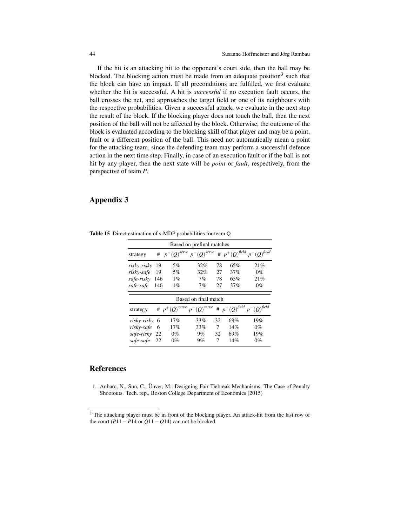If the hit is an attacking hit to the opponent's court side, then the ball may be blocked. The blocking action must be made from an adequate position<sup>3</sup> such that the block can have an impact. If all preconditions are fulfilled, we first evaluate whether the hit is successful. A hit is *successful* if no execution fault occurs, the ball crosses the net, and approaches the target field or one of its neighbours with the respective probabilities. Given a successful attack, we evaluate in the next step the result of the block. If the blocking player does not touch the ball, then the next position of the ball will not be affected by the block. Otherwise, the outcome of the block is evaluated according to the blocking skill of that player and may be a point, fault or a different position of the ball. This need not automatically mean a point for the attacking team, since the defending team may perform a successful defence action in the next time step. Finally, in case of an execution fault or if the ball is not hit by any player, then the next state will be *point* or *fault*, respectively, from the perspective of team *P*.

#### Appendix 3

| Based on prefinal matches |     |                                                                                                                   |     |    |     |                                                           |  |
|---------------------------|-----|-------------------------------------------------------------------------------------------------------------------|-----|----|-----|-----------------------------------------------------------|--|
| strategy                  | #   | $p^{+}(Q)$ <sup>serve</sup> $p^{-}(Q)$ <sup>serve</sup> # $p^{+}(Q)$ <sup>field</sup> $p^{-}(Q)$ <sup>field</sup> |     |    |     |                                                           |  |
| risky-risky               | 19  | 5%                                                                                                                | 32% | 78 | 65% | 21%                                                       |  |
| risky-safe                | 19  | 5%                                                                                                                | 32% | 27 | 37% | $0\%$                                                     |  |
| safe-risky                | 146 | $1\%$                                                                                                             | 7%  | 78 | 65% | 21%                                                       |  |
| safe-safe                 | 146 | $1\%$                                                                                                             | 7%  | 27 | 37% | $0\%$                                                     |  |
| Based on final match      |     |                                                                                                                   |     |    |     |                                                           |  |
| strategy                  |     | # $p^+(Q)$ <sup>serve</sup> $p^-(Q)$ <sup>serve</sup>                                                             |     |    |     | # $p^{+}(Q)$ <sup>field</sup> $p^{-}(Q)$ <sup>field</sup> |  |
| risky-risky               | 6   | 17%                                                                                                               | 33% | 32 | 69% | 19%                                                       |  |
| risky-safe                | 6   | 17%                                                                                                               | 33% | 7  | 14% | $0\%$                                                     |  |
| safe-risky                | 22  | $0\%$                                                                                                             | 9%  | 32 | 69% | 19%                                                       |  |
| safe-safe                 | 22  | $0\%$                                                                                                             | 9%  | 7  | 14% | $0\%$                                                     |  |

Table 15 Direct estimation of s-MDP probabilities for team Q

#### References

1. Anbarc, N., Sun, C., Ünver, M.: Designing Fair Tiebreak Mechanisms: The Case of Penalty Shootouts. Tech. rep., Boston College Department of Economics (2015)

<sup>&</sup>lt;sup>3</sup> The attacking player must be in front of the blocking player. An attack-hit from the last row of the court  $(P11 - P14$  or  $Q11 - Q14$ ) can not be blocked.